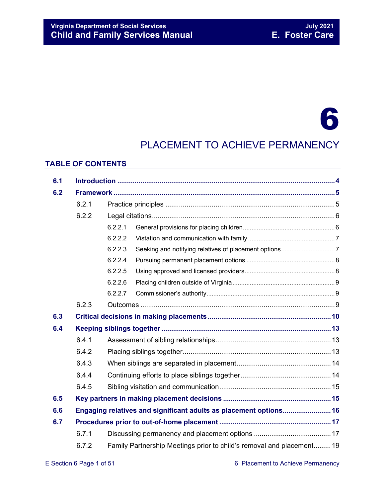#### **Virginia Department of Social Services**<br> **Child and Family Services Manual Child and Family Services Manual Child and Family Services Manual Child and Family Services Manual**

# 6

### PLACEMENT TO ACHIEVE PERMANENCY

#### **TABLE OF CONTENTS**

| 6.1 |       |                                                                       |  |  |  |  |
|-----|-------|-----------------------------------------------------------------------|--|--|--|--|
| 6.2 |       |                                                                       |  |  |  |  |
|     | 6.2.1 |                                                                       |  |  |  |  |
|     | 6.2.2 |                                                                       |  |  |  |  |
|     |       | 6.2.2.1                                                               |  |  |  |  |
|     |       | 6.2.2.2                                                               |  |  |  |  |
|     |       | 6.2.2.3                                                               |  |  |  |  |
|     |       | 6.2.2.4                                                               |  |  |  |  |
|     |       | 6.2.2.5                                                               |  |  |  |  |
|     |       | 6.2.2.6                                                               |  |  |  |  |
|     |       | 6.2.2.7                                                               |  |  |  |  |
|     | 6.2.3 |                                                                       |  |  |  |  |
| 6.3 |       |                                                                       |  |  |  |  |
| 6.4 |       |                                                                       |  |  |  |  |
|     | 6.4.1 |                                                                       |  |  |  |  |
|     | 6.4.2 |                                                                       |  |  |  |  |
|     | 6.4.3 |                                                                       |  |  |  |  |
|     | 6.4.4 |                                                                       |  |  |  |  |
|     | 6.4.5 |                                                                       |  |  |  |  |
| 6.5 |       |                                                                       |  |  |  |  |
| 6.6 |       | Engaging relatives and significant adults as placement options 16     |  |  |  |  |
| 6.7 |       |                                                                       |  |  |  |  |
|     | 6.7.1 |                                                                       |  |  |  |  |
|     | 6.7.2 | Family Partnership Meetings prior to child's removal and placement 19 |  |  |  |  |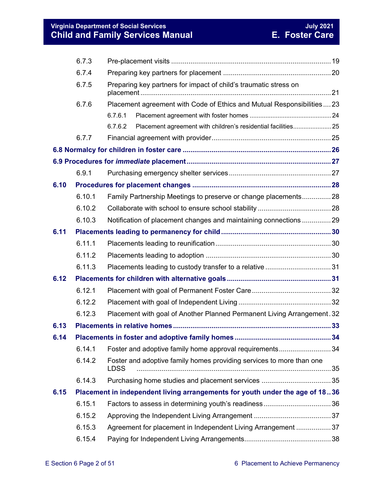#### **Virginia Department of Social Services July 2021 Child and Family Services Manual E. Foster Care**

|      | 6.7.3                                                          |                                                                                     |  |  |  |  |  |  |  |
|------|----------------------------------------------------------------|-------------------------------------------------------------------------------------|--|--|--|--|--|--|--|
|      | 6.7.4                                                          |                                                                                     |  |  |  |  |  |  |  |
|      | 6.7.5                                                          | Preparing key partners for impact of child's traumatic stress on                    |  |  |  |  |  |  |  |
|      | 6.7.6                                                          | Placement agreement with Code of Ethics and Mutual Responsibilities23               |  |  |  |  |  |  |  |
|      |                                                                | 6.7.6.1                                                                             |  |  |  |  |  |  |  |
|      |                                                                | 6.7.6.2                                                                             |  |  |  |  |  |  |  |
|      | 6.7.7                                                          |                                                                                     |  |  |  |  |  |  |  |
|      |                                                                |                                                                                     |  |  |  |  |  |  |  |
|      |                                                                |                                                                                     |  |  |  |  |  |  |  |
|      | 6.9.1                                                          |                                                                                     |  |  |  |  |  |  |  |
| 6.10 |                                                                |                                                                                     |  |  |  |  |  |  |  |
|      | Family Partnership Meetings to preserve or change placements28 |                                                                                     |  |  |  |  |  |  |  |
|      | 6.10.2                                                         |                                                                                     |  |  |  |  |  |  |  |
|      | 6.10.3                                                         | Notification of placement changes and maintaining connections 29                    |  |  |  |  |  |  |  |
| 6.11 |                                                                |                                                                                     |  |  |  |  |  |  |  |
|      | 6.11.1                                                         |                                                                                     |  |  |  |  |  |  |  |
|      | 6.11.2                                                         |                                                                                     |  |  |  |  |  |  |  |
|      | 6.11.3                                                         |                                                                                     |  |  |  |  |  |  |  |
| 6.12 |                                                                |                                                                                     |  |  |  |  |  |  |  |
|      | 6.12.1                                                         |                                                                                     |  |  |  |  |  |  |  |
|      | 6.12.2                                                         |                                                                                     |  |  |  |  |  |  |  |
|      | 6.12.3                                                         | Placement with goal of Another Planned Permanent Living Arrangement. 32             |  |  |  |  |  |  |  |
| 6.13 |                                                                |                                                                                     |  |  |  |  |  |  |  |
| 6.14 |                                                                |                                                                                     |  |  |  |  |  |  |  |
|      | 6.14.1                                                         | Foster and adoptive family home approval requirements34                             |  |  |  |  |  |  |  |
|      | 6.14.2                                                         | Foster and adoptive family homes providing services to more than one<br><b>LDSS</b> |  |  |  |  |  |  |  |
|      | 6.14.3                                                         |                                                                                     |  |  |  |  |  |  |  |
| 6.15 |                                                                | Placement in independent living arrangements for youth under the age of 18.36       |  |  |  |  |  |  |  |
|      | 6.15.1                                                         |                                                                                     |  |  |  |  |  |  |  |
|      | 6.15.2                                                         |                                                                                     |  |  |  |  |  |  |  |
|      | 6.15.3                                                         | Agreement for placement in Independent Living Arrangement 37                        |  |  |  |  |  |  |  |
|      | 6.15.4                                                         |                                                                                     |  |  |  |  |  |  |  |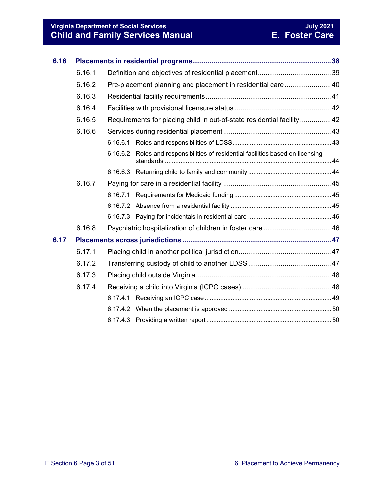#### **Virginia Department of Social Services July 2021 Child and Family Services Manual E. Foster Care**

| 6.16 |        |                                                                        |                                                                         |  |  |  |
|------|--------|------------------------------------------------------------------------|-------------------------------------------------------------------------|--|--|--|
|      | 6.16.1 |                                                                        |                                                                         |  |  |  |
|      | 6.16.2 | Pre-placement planning and placement in residential care 40            |                                                                         |  |  |  |
|      | 6.16.3 |                                                                        |                                                                         |  |  |  |
|      | 6.16.4 |                                                                        |                                                                         |  |  |  |
|      | 6.16.5 | Requirements for placing child in out-of-state residential facility 42 |                                                                         |  |  |  |
|      | 6.16.6 |                                                                        |                                                                         |  |  |  |
|      |        |                                                                        |                                                                         |  |  |  |
|      |        | 6.16.6.2                                                               | Roles and responsibilities of residential facilities based on licensing |  |  |  |
|      |        |                                                                        |                                                                         |  |  |  |
|      | 6.16.7 |                                                                        |                                                                         |  |  |  |
|      |        | 6.16.7.1                                                               |                                                                         |  |  |  |
|      |        |                                                                        |                                                                         |  |  |  |
|      |        |                                                                        |                                                                         |  |  |  |
|      | 6.16.8 |                                                                        |                                                                         |  |  |  |
| 6.17 |        |                                                                        |                                                                         |  |  |  |
|      | 6.17.1 |                                                                        |                                                                         |  |  |  |
|      | 6.17.2 |                                                                        |                                                                         |  |  |  |
|      | 6.17.3 |                                                                        |                                                                         |  |  |  |
|      | 6.17.4 |                                                                        |                                                                         |  |  |  |
|      |        |                                                                        |                                                                         |  |  |  |
|      |        |                                                                        |                                                                         |  |  |  |
|      |        |                                                                        |                                                                         |  |  |  |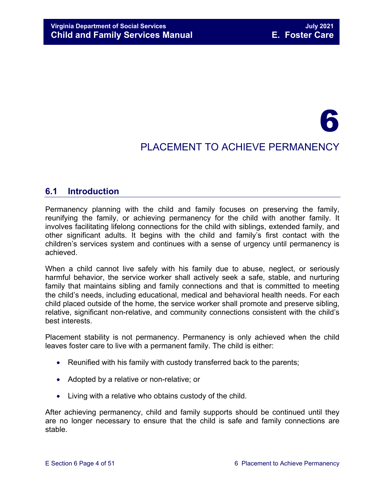## 6 PLACEMENT TO ACHIEVE PERMANENCY

#### <span id="page-3-0"></span>**6.1 Introduction**

Permanency planning with the child and family focuses on preserving the family, reunifying the family, or achieving permanency for the child with another family. It involves facilitating lifelong connections for the child with siblings, extended family, and other significant adults. It begins with the child and family's first contact with the children's services system and continues with a sense of urgency until permanency is achieved.

When a child cannot live safely with his family due to abuse, neglect, or seriously harmful behavior, the service worker shall actively seek a safe, stable, and nurturing family that maintains sibling and family connections and that is committed to meeting the child's needs, including educational, medical and behavioral health needs. For each child placed outside of the home, the service worker shall promote and preserve sibling, relative, significant non-relative, and community connections consistent with the child's best interests.

Placement stability is not permanency. Permanency is only achieved when the child leaves foster care to live with a permanent family. The child is either:

- Reunified with his family with custody transferred back to the parents;
- Adopted by a relative or non-relative; or
- Living with a relative who obtains custody of the child.

After achieving permanency, child and family supports should be continued until they are no longer necessary to ensure that the child is safe and family connections are stable.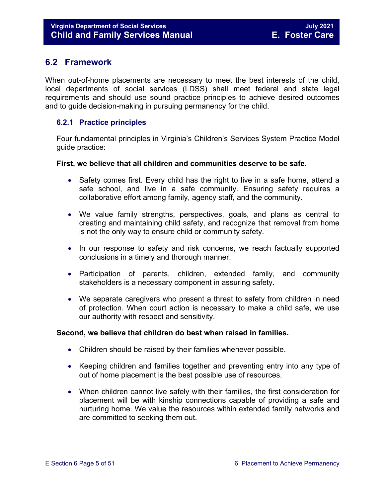#### <span id="page-4-0"></span>**6.2 Framework**

When out-of-home placements are necessary to meet the best interests of the child, local departments of social services (LDSS) shall meet federal and state legal requirements and should use sound practice principles to achieve desired outcomes and to guide decision-making in pursuing permanency for the child.

#### <span id="page-4-1"></span>**6.2.1 Practice principles**

Four fundamental principles in Virginia's Children's Services System Practice Model guide practice:

#### **First, we believe that all children and communities deserve to be safe.**

- Safety comes first. Every child has the right to live in a safe home, attend a safe school, and live in a safe community. Ensuring safety requires a collaborative effort among family, agency staff, and the community.
- We value family strengths, perspectives, goals, and plans as central to creating and maintaining child safety, and recognize that removal from home is not the only way to ensure child or community safety.
- In our response to safety and risk concerns, we reach factually supported conclusions in a timely and thorough manner.
- Participation of parents, children, extended family, and community stakeholders is a necessary component in assuring safety.
- We separate caregivers who present a threat to safety from children in need of protection. When court action is necessary to make a child safe, we use our authority with respect and sensitivity.

#### **Second, we believe that children do best when raised in families.**

- Children should be raised by their families whenever possible.
- Keeping children and families together and preventing entry into any type of out of home placement is the best possible use of resources.
- When children cannot live safely with their families, the first consideration for placement will be with kinship connections capable of providing a safe and nurturing home. We value the resources within extended family networks and are committed to seeking them out.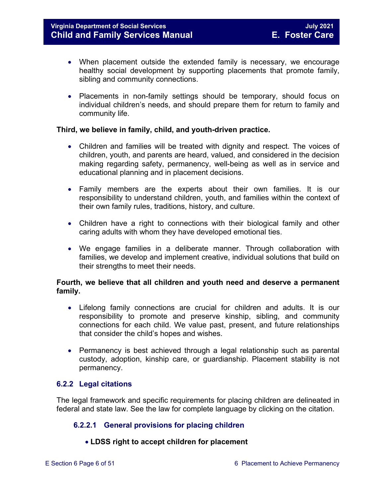- When placement outside the extended family is necessary, we encourage healthy social development by supporting placements that promote family, sibling and community connections.
- Placements in non-family settings should be temporary, should focus on individual children's needs, and should prepare them for return to family and community life.

#### **Third, we believe in family, child, and youth-driven practice.**

- Children and families will be treated with dignity and respect. The voices of children, youth, and parents are heard, valued, and considered in the decision making regarding safety, permanency, well-being as well as in service and educational planning and in placement decisions.
- Family members are the experts about their own families. It is our responsibility to understand children, youth, and families within the context of their own family rules, traditions, history, and culture.
- Children have a right to connections with their biological family and other caring adults with whom they have developed emotional ties.
- We engage families in a deliberate manner. Through collaboration with families, we develop and implement creative, individual solutions that build on their strengths to meet their needs.

#### **Fourth, we believe that all children and youth need and deserve a permanent family.**

- Lifelong family connections are crucial for children and adults. It is our responsibility to promote and preserve kinship, sibling, and community connections for each child. We value past, present, and future relationships that consider the child's hopes and wishes.
- Permanency is best achieved through a legal relationship such as parental custody, adoption, kinship care, or guardianship. Placement stability is not permanency.

#### <span id="page-5-0"></span>**6.2.2 Legal citations**

The legal framework and specific requirements for placing children are delineated in federal and state law. See the law for complete language by clicking on the citation.

#### **6.2.2.1 General provisions for placing children**

#### <span id="page-5-1"></span>• **LDSS right to accept children for placement**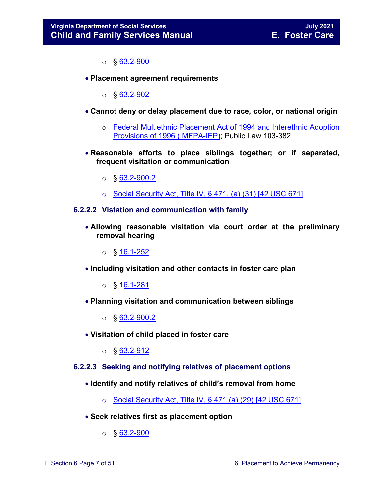$\circ$  § 63.2-900

• **Placement agreement requirements** 

 $\circ$  § [63.2-902](https://law.lis.virginia.gov/vacode/63.2-902/)

- **Cannot deny or delay placement due to race, color, or national origin** 
	- o [Federal Multiethnic Placement Act of 1994 and Interethnic Adoption](https://www.childwelfare.gov/systemwide/laws_policies/federal/index.cfm?event=federalLegislation.viewLegis&id=46)  [Provisions of 1996 \( MEPA-IEP\);](https://www.childwelfare.gov/systemwide/laws_policies/federal/index.cfm?event=federalLegislation.viewLegis&id=46) Public Law 103-382
- **Reasonable efforts to place siblings together; or if separated, frequent visitation or communication** 
	- $\circ$  § 63.2-900.2
	- o [Social Security Act, Title IV, § 471, \(a\) \(31\) \[42 USC 671\]](http://www.ssa.gov/OP_Home/ssact/title04/0471.htm)

#### <span id="page-6-0"></span>**6.2.2.2 Vistation and communication with family**

- **Allowing reasonable visitation via court order at the preliminary removal hearing** 
	- o § [16.1-252](https://law.lis.virginia.gov/vacode/16.1-252/)
- **Including visitation and other contacts in foster care plan** 
	- o § [16.1-281](https://law.lis.virginia.gov/vacode/16.1-281/)
- **Planning visitation and communication between siblings** 
	- $\circ$  § 63.2-900.2
- **Visitation of child placed in foster care**
	- $\circ$  § 63.2-912

#### <span id="page-6-1"></span>**6.2.2.3 Seeking and notifying relatives of placement options**

- **Identify and notify relatives of child's removal from home** 
	- $\circ$  [Social Security Act, Title IV, § 471 \(a\) \(29\) \[42 USC 671\]](http://www.ssa.gov/OP_Home/ssact/title04/0471.htm)
- **Seek relatives first as placement option** 
	- $\circ$  § [63.2-900](https://law.lis.virginia.gov/vacode/63.2-900/)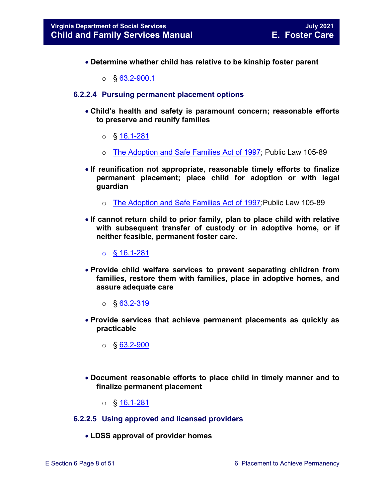- **Determine whether child has relative to be kinship foster parent** 
	- $\circ$  § 63.2-900.1

#### <span id="page-7-0"></span>**6.2.2.4 Pursuing permanent placement options**

- **Child's health and safety is paramount concern; reasonable efforts to preserve and reunify families** 
	- o § [16.1-281](https://law.lis.virginia.gov/vacode/16.1-281/)
	- o [The Adoption and Safe Families Act of 1997;](https://www.childwelfare.gov/systemwide/laws_policies/federal/index.cfm?event=federalLegislation.viewLegis&id=4) Public Law 105-89
- **If reunification not appropriate, reasonable timely efforts to finalize permanent placement; place child for adoption or with legal guardian** 
	- o [The Adoption and Safe](https://www.childwelfare.gov/systemwide/laws_policies/federal/index.cfm?event=federalLegislation.viewLegis&id=4) Families Act of 1997;Public Law 105-89
- **If cannot return child to prior family, plan to place child with relative with subsequent transfer of custody or in adoptive home, or if neither feasible, permanent foster care.** 
	- o § [16.1-281](https://law.lis.virginia.gov/vacode/16.1-281/)
- **Provide child welfare services to prevent separating children from families, restore them with families, place in adoptive homes, and assure adequate care** 
	- $\circ$  § [63.2-319](https://law.lis.virginia.gov/vacode/63.2-319/)
- **Provide services that achieve permanent placements as quickly as practicable** 
	- $\circ$  § [63.2-900](https://law.lis.virginia.gov/vacode/63.2-900/)
- **Document reasonable efforts to place child in timely manner and to finalize permanent placement** 
	- o § [16.1-281](https://law.lis.virginia.gov/vacode/16.1-281/)
- <span id="page-7-1"></span>**6.2.2.5 Using approved and licensed providers**
	- **LDSS approval of provider homes**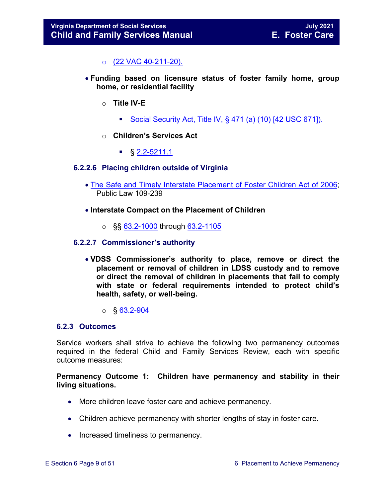o [\(22 VAC 40-211-20\)](http://leg1.state.va.us/cgi-bin/legp504.exe?000+reg+22VAC40-211-20).

- **Funding based on licensure status of foster family home, group home, or residential facility** 
	- o **Title IV-E** 
		- Social Security Act, Title IV,  $\S$  471 (a) (10) [42 USC 671]).
	- o **Children's Services Act** 
		- $\frac{1}{2}$  § [2.2-5211.1](https://law.lis.virginia.gov/vacode/2.2-5211.1/)

#### <span id="page-8-0"></span>**6.2.2.6 Placing children outside of Virginia**

- [The Safe and Timely Interstate Placement of Foster Children Act of 2006;](https://www.childwelfare.gov/systemwide/laws_policies/federal/index.cfm?event=federalLegislation.viewLegis&id=82) Public Law 109-239
- **Interstate Compact on the Placement of Children** 
	- $\circ$  §§ [63.2-1000](https://law.lis.virginia.gov/vacode/63.2-1000/) through [63.2-1105](https://law.lis.virginia.gov/vacode/63.2-1105/)

#### <span id="page-8-1"></span>**6.2.2.7 Commissioner's authority**

- **VDSS Commissioner's authority to place, remove or direct the placement or removal of children in LDSS custody and to remove or direct the removal of children in placements that fail to comply with state or federal requirements intended to protect child's health, safety, or well-being.**
	- $\circ$  § [63.2-904](https://law.lis.virginia.gov/vacode/63.2-904)

#### <span id="page-8-2"></span>**6.2.3 Outcomes**

Service workers shall strive to achieve the following two permanency outcomes required in the federal Child and Family Services Review, each with specific outcome measures:

**Permanency Outcome 1: Children have permanency and stability in their living situations.** 

- More children leave foster care and achieve permanency.
- Children achieve permanency with shorter lengths of stay in foster care.
- Increased timeliness to permanency.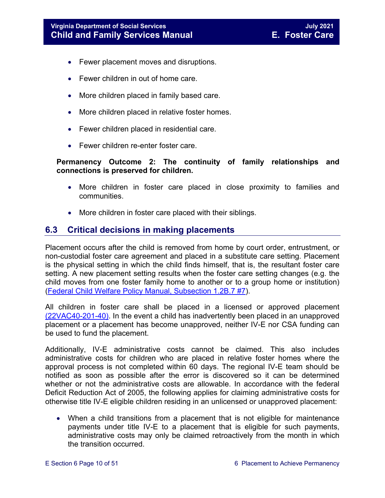- Fewer placement moves and disruptions.
- Fewer children in out of home care.
- More children placed in family based care.
- More children placed in relative foster homes.
- Fewer children placed in residential care.
- Fewer children re-enter foster care.

#### **Permanency Outcome 2: The continuity of family relationships and connections is preserved for children.**

- More children in foster care placed in close proximity to families and communities.
- More children in foster care placed with their siblings.

#### <span id="page-9-0"></span>**6.3 Critical decisions in making placements**

Placement occurs after the child is removed from home by court order, entrustment, or non-custodial foster care agreement and placed in a substitute care setting. Placement is the physical setting in which the child finds himself, that is, the resultant foster care setting. A new placement setting results when the foster care setting changes (e.g. the child moves from one foster family home to another or to a group home or institution) [\(Federal Child Welfare Policy Manual, Subsection 1.2B.7](https://www.acf.hhs.gov/cwpm/public_html/programs/cb/laws_policies/laws/cwpm/policy_dsp.jsp?citID=150) #7).

All children in foster care shall be placed in a licensed or approved placement [\(22VAC40-201-40\).](https://law.lis.virginia.gov/admincode/title22/agency40/chapter201/section40/) In the event a child has inadvertently been placed in an unapproved placement or a placement has become unapproved, neither IV-E nor CSA funding can be used to fund the placement.

Additionally, IV-E administrative costs cannot be claimed. This also includes administrative costs for children who are placed in relative foster homes where the approval process is not completed within 60 days. The regional IV-E team should be notified as soon as possible after the error is discovered so it can be determined whether or not the administrative costs are allowable. In accordance with the federal Deficit Reduction Act of 2005, the following applies for claiming administrative costs for otherwise title IV-E eligible children residing in an unlicensed or unapproved placement:

• When a child transitions from a placement that is not eligible for maintenance payments under title IV-E to a placement that is eligible for such payments, administrative costs may only be claimed retroactively from the month in which the transition occurred.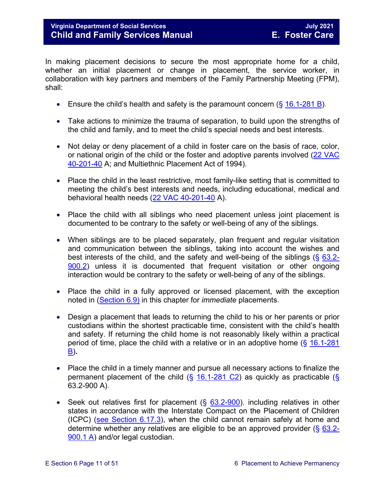#### **Virginia Department of Social Services July 2021 Child and Family Services Manual**

In making placement decisions to secure the most appropriate home for a child, whether an initial placement or change in placement, the service worker, in collaboration with key partners and members of the Family Partnership Meeting (FPM), shall:

- Ensure the child's health and safety is the paramount concern  $(\S 16.1\n-281 B)$ .
- Take actions to minimize the trauma of separation, to build upon the strengths of the child and family, and to meet the child's special needs and best interests.
- Not delay or deny placement of a child in foster care on the basis of race, color, or national origin of the child or the foster and adoptive parents involved [\(22 VAC](http://leg1.state.va.us/cgi-bin/legp504.exe?000+reg+22VAC40-201-40)  [40-201-40](http://leg1.state.va.us/cgi-bin/legp504.exe?000+reg+22VAC40-201-40) A; and Multiethnic Placement Act of 1994).
- Place the child in the least restrictive, most family-like setting that is committed to meeting the child's best interests and needs, including educational, medical and behavioral health needs [\(22 VAC 40-201-40](http://leg1.state.va.us/cgi-bin/legp504.exe?000+reg+22VAC40-201-40) A).
- Place the child with all siblings who need placement unless joint placement is documented to be contrary to the safety or well-being of any of the siblings.
- When siblings are to be placed separately, plan frequent and regular visitation and communication between the siblings, taking into account the wishes and best interests of the child, and the safety and well-being of the siblings ( $\S$  [63.2-](https://law.lis.virginia.gov/vacode/63.2-900.2/) [900.2\)](https://law.lis.virginia.gov/vacode/63.2-900.2/) unless it is documented that frequent visitation or other ongoing interaction would be contrary to the safety or well-being of any of the siblings.
- Place the child in a fully approved or licensed placement, with the exception noted in [\(Section 6.9\)](#page-26-0) in this chapter for *immediate* placements.
- Design a placement that leads to returning the child to his or her parents or prior custodians within the shortest practicable time, consistent with the child's health and safety. If returning the child home is not reasonably likely within a practical period of time, place the child with a relative or in an adoptive home (§ [16.1-281](https://law.lis.virginia.gov/vacode/16.1-281/)  [B\)](https://law.lis.virginia.gov/vacode/16.1-281/)**.**
- Place the child in a timely manner and pursue all necessary actions to finalize the permanent placement of the child ( $\S$  [16.1-281 C2\)](https://law.lis.virginia.gov/vacode/16.1-281/) as quickly as practicable ( $\S$ 63.2-900 A).
- Seek out relatives first for placement  $(\S$  [63.2-900\)](https://law.lis.virginia.gov/vacode/63.2-900/), including relatives in other states in accordance with the Interstate Compact on the Placement of Children (ICPC) [\(see Section 6.17.3\)](#page-47-2), when the child cannot remain safely at home and determine whether any relatives are eligible to be an approved provider  $(\S$  [63.2-](https://law.lis.virginia.gov/vacode/63.2-900/) [900.1 A\)](https://law.lis.virginia.gov/vacode/63.2-900/) and/or legal custodian.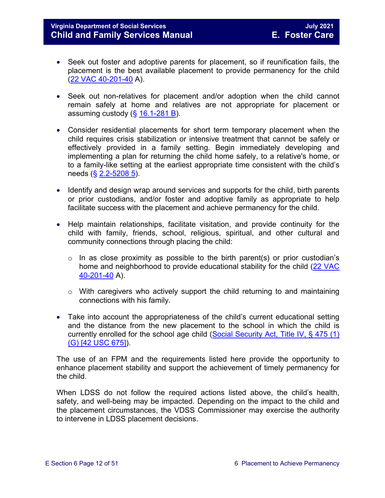#### **Virginia Department of Social Services July 2021 Child and Family Services Manual**

- Seek out foster and adoptive parents for placement, so if reunification fails, the placement is the best available placement to provide permanency for the child [\(22 VAC 40-201-40](http://leg1.state.va.us/cgi-bin/legp504.exe?000+reg+22VAC40-201-40) A).
- Seek out non-relatives for placement and/or adoption when the child cannot remain safely at home and relatives are not appropriate for placement or assuming custody  $(\frac{6}{5}$  [16.1-281 B\)](https://law.lis.virginia.gov/vacode/16.1-281/).
- Consider residential placements for short term temporary placement when the child requires crisis stabilization or intensive treatment that cannot be safely or effectively provided in a family setting. Begin immediately developing and implementing a plan for returning the child home safely, to a relative's home, or to a family-like setting at the earliest appropriate time consistent with the child's needs (§ [2.2-5208 5\)](https://law.lis.virginia.gov/vacode/2.2-5208/).
- Identify and design wrap around services and supports for the child, birth parents or prior custodians, and/or foster and adoptive family as appropriate to help facilitate success with the placement and achieve permanency for the child.
- Help maintain relationships, facilitate visitation, and provide continuity for the child with family, friends, school, religious, spiritual, and other cultural and community connections through placing the child:
	- $\circ$  In as close proximity as possible to the birth parent(s) or prior custodian's home and neighborhood to provide educational stability for the child [\(22 VAC](http://leg1.state.va.us/cgi-bin/legp504.exe?000+reg+22VAC40-201-40)  [40-201-40](http://leg1.state.va.us/cgi-bin/legp504.exe?000+reg+22VAC40-201-40) A).
	- o With caregivers who actively support the child returning to and maintaining connections with his family.
- Take into account the appropriateness of the child's current educational setting and the distance from the new placement to the school in which the child is currently enrolled for the school age child (Social Security Act, Title IV,  $\S$  475 (1) [\(G\) \[42 USC 675\]\)](http://www.ssa.gov/OP_Home/ssact/title04/0475.htm).

The use of an FPM and the requirements listed here provide the opportunity to enhance placement stability and support the achievement of timely permanency for the child.

When LDSS do not follow the required actions listed above, the child's health, safety, and well-being may be impacted. Depending on the impact to the child and the placement circumstances, the VDSS Commissioner may exercise the authority to intervene in LDSS placement decisions.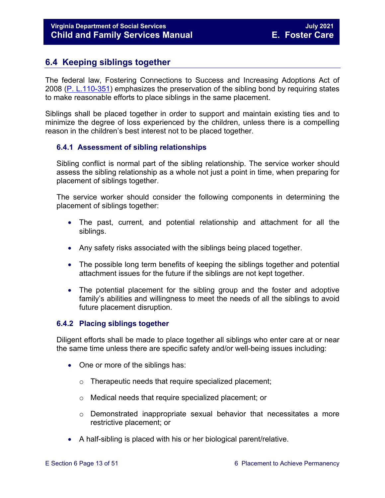#### <span id="page-12-0"></span>**6.4 Keeping siblings together**

The federal law, Fostering Connections to Success and Increasing Adoptions Act of 2008 [\(P. L.110-351\)](https://www.childwelfare.gov/topics/systemwide/laws-policies/federal/fosteringconnections/) emphasizes the preservation of the sibling bond by requiring states to make reasonable efforts to place siblings in the same placement.

Siblings shall be placed together in order to support and maintain existing ties and to minimize the degree of loss experienced by the children, unless there is a compelling reason in the children's best interest not to be placed together.

#### <span id="page-12-1"></span>**6.4.1 Assessment of sibling relationships**

Sibling conflict is normal part of the sibling relationship. The service worker should assess the sibling relationship as a whole not just a point in time, when preparing for placement of siblings together.

The service worker should consider the following components in determining the placement of siblings together:

- The past, current, and potential relationship and attachment for all the siblings.
- Any safety risks associated with the siblings being placed together.
- The possible long term benefits of keeping the siblings together and potential attachment issues for the future if the siblings are not kept together.
- The potential placement for the sibling group and the foster and adoptive family's abilities and willingness to meet the needs of all the siblings to avoid future placement disruption.

#### <span id="page-12-2"></span>**6.4.2 Placing siblings together**

Diligent efforts shall be made to place together all siblings who enter care at or near the same time unless there are specific safety and/or well-being issues including:

- One or more of the siblings has:
	- o Therapeutic needs that require specialized placement;
	- o Medical needs that require specialized placement; or
	- o Demonstrated inappropriate sexual behavior that necessitates a more restrictive placement; or
- A half-sibling is placed with his or her biological parent/relative.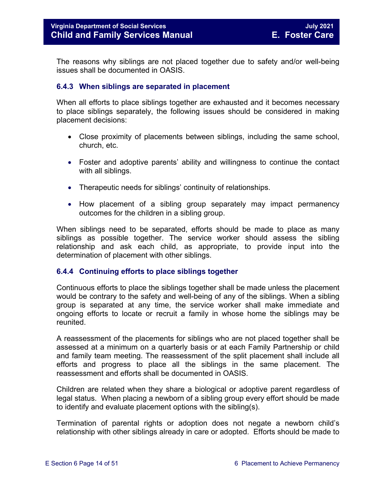The reasons why siblings are not placed together due to safety and/or well-being issues shall be documented in OASIS.

#### <span id="page-13-0"></span>**6.4.3 When siblings are separated in placement**

When all efforts to place siblings together are exhausted and it becomes necessary to place siblings separately, the following issues should be considered in making placement decisions:

- Close proximity of placements between siblings, including the same school, church, etc.
- Foster and adoptive parents' ability and willingness to continue the contact with all siblings.
- Therapeutic needs for siblings' continuity of relationships.
- How placement of a sibling group separately may impact permanency outcomes for the children in a sibling group.

When siblings need to be separated, efforts should be made to place as many siblings as possible together. The service worker should assess the sibling relationship and ask each child, as appropriate, to provide input into the determination of placement with other siblings.

#### <span id="page-13-1"></span>**6.4.4 Continuing efforts to place siblings together**

Continuous efforts to place the siblings together shall be made unless the placement would be contrary to the safety and well-being of any of the siblings. When a sibling group is separated at any time, the service worker shall make immediate and ongoing efforts to locate or recruit a family in whose home the siblings may be reunited.

A reassessment of the placements for siblings who are not placed together shall be assessed at a minimum on a quarterly basis or at each Family Partnership or child and family team meeting. The reassessment of the split placement shall include all efforts and progress to place all the siblings in the same placement. The reassessment and efforts shall be documented in OASIS.

Children are related when they share a biological or adoptive parent regardless of legal status. When placing a newborn of a sibling group every effort should be made to identify and evaluate placement options with the sibling(s).

Termination of parental rights or adoption does not negate a newborn child's relationship with other siblings already in care or adopted. Efforts should be made to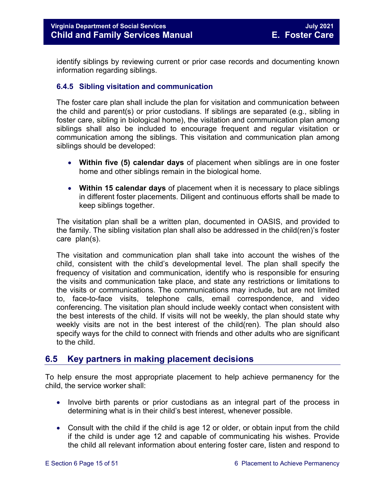identify siblings by reviewing current or prior case records and documenting known information regarding siblings.

#### <span id="page-14-0"></span>**6.4.5 Sibling visitation and communication**

The foster care plan shall include the plan for visitation and communication between the child and parent(s) or prior custodians. If siblings are separated (e.g., sibling in foster care, sibling in biological home), the visitation and communication plan among siblings shall also be included to encourage frequent and regular visitation or communication among the siblings. This visitation and communication plan among siblings should be developed:

- **Within five (5) calendar days** of placement when siblings are in one foster home and other siblings remain in the biological home.
- **Within 15 calendar days** of placement when it is necessary to place siblings in different foster placements. Diligent and continuous efforts shall be made to keep siblings together.

The visitation plan shall be a written plan, documented in OASIS, and provided to the family. The sibling visitation plan shall also be addressed in the child(ren)'s foster care plan(s).

The visitation and communication plan shall take into account the wishes of the child, consistent with the child's developmental level. The plan shall specify the frequency of visitation and communication, identify who is responsible for ensuring the visits and communication take place, and state any restrictions or limitations to the visits or communications. The communications may include, but are not limited to, face-to-face visits, telephone calls, email correspondence, and video conferencing. The visitation plan should include weekly contact when consistent with the best interests of the child. If visits will not be weekly, the plan should state why weekly visits are not in the best interest of the child(ren). The plan should also specify ways for the child to connect with friends and other adults who are significant to the child.

#### <span id="page-14-1"></span>**6.5 Key partners in making placement decisions**

To help ensure the most appropriate placement to help achieve permanency for the child, the service worker shall:

- Involve birth parents or prior custodians as an integral part of the process in determining what is in their child's best interest, whenever possible.
- Consult with the child if the child is age 12 or older, or obtain input from the child if the child is under age 12 and capable of communicating his wishes. Provide the child all relevant information about entering foster care, listen and respond to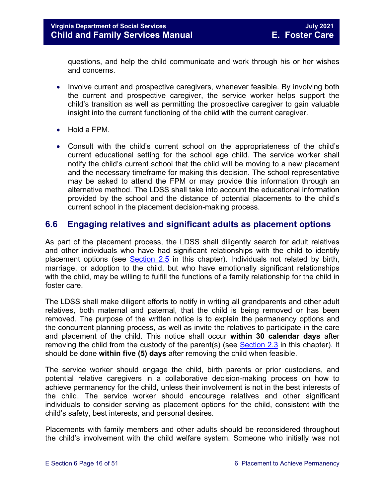questions, and help the child communicate and work through his or her wishes and concerns.

- Involve current and prospective caregivers, whenever feasible. By involving both the current and prospective caregiver, the service worker helps support the child's transition as well as permitting the prospective caregiver to gain valuable insight into the current functioning of the child with the current caregiver.
- Hold a FPM.
- Consult with the child's current school on the appropriateness of the child's current educational setting for the school age child. The service worker shall notify the child's current school that the child will be moving to a new placement and the necessary timeframe for making this decision. The school representative may be asked to attend the FPM or may provide this information through an alternative method. The LDSS shall take into account the educational information provided by the school and the distance of potential placements to the child's current school in the placement decision-making process.

#### <span id="page-15-0"></span>**6.6 Engaging relatives and significant adults as placement options**

As part of the placement process, the LDSS shall diligently search for adult relatives and other individuals who have had significant relationships with the child to identify placement options (see [Section 2.5](https://fusion.dss.virginia.gov/Portals/%5bdfs%5d/Files/DFS%20Manuals/Foster%20Care%20Manuals/Foster%20Care%20Manual%2007-2020/Final%20Foster%20Care%20Manual%2007-2020/section_2_engaging_the_child_family_and_significant_adults.pdf#page=10) in this chapter). Individuals not related by birth, marriage, or adoption to the child, but who have emotionally significant relationships with the child, may be willing to fulfill the functions of a family relationship for the child in foster care.

The LDSS shall make diligent efforts to notify in writing all grandparents and other adult relatives, both maternal and paternal, that the child is being removed or has been removed. The purpose of the written notice is to explain the permanency options and the concurrent planning process, as well as invite the relatives to participate in the care and placement of the child. This notice shall occur **within 30 calendar days** after removing the child from the custody of the parent(s) (see [Section 2.3](https://fusion.dss.virginia.gov/Portals/%5bdfs%5d/Files/DFS%20Manuals/Foster%20Care%20Manuals/Foster%20Care%20Manual%2007-2020/Final%20Foster%20Care%20Manual%2007-2020/section_2_engaging_the_child_family_and_significant_adults.pdf#page=6) in this chapter). It should be done **within five (5) days** after removing the child when feasible.

The service worker should engage the child, birth parents or prior custodians, and potential relative caregivers in a collaborative decision-making process on how to achieve permanency for the child, unless their involvement is not in the best interests of the child. The service worker should encourage relatives and other significant individuals to consider serving as placement options for the child, consistent with the child's safety, best interests, and personal desires.

Placements with family members and other adults should be reconsidered throughout the child's involvement with the child welfare system. Someone who initially was not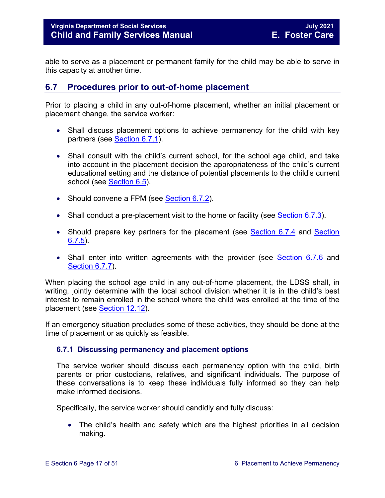able to serve as a placement or permanent family for the child may be able to serve in this capacity at another time.

#### <span id="page-16-0"></span>**6.7 Procedures prior to out-of-home placement**

Prior to placing a child in any out-of-home placement, whether an initial placement or placement change, the service worker:

- Shall discuss placement options to achieve permanency for the child with key partners (see [Section 6.7.1\)](#page-16-1).
- Shall consult with the child's current school, for the school age child, and take into account in the placement decision the appropriateness of the child's current educational setting and the distance of potential placements to the child's current school (see [Section 6.5\)](#page-14-1).
- Should convene a FPM (see [Section 6.7.2\)](#page-18-0).
- Shall conduct a pre-placement visit to the home or facility (see [Section 6.7.3\)](#page-18-1).
- Should prepare key partners for the placement (see [Section 6.7.4](#page-19-0) and Section  $6.7.5$ ).
- Shall enter into written agreements with the provider (see [Section 6.7.6](#page-22-0) and [Section 6.7.7\)](#page-24-1).

When placing the school age child in any out-of-home placement, the LDSS shall, in writing, jointly determine with the local school division whether it is in the child's best interest to remain enrolled in the school where the child was enrolled at the time of the placement (see [Section 12.12\)](https://fusion.dss.virginia.gov/Portals/%5Bdfs%5D/Files/DFS%20Manuals/Foster%20Care%20Manuals/Foster%20Care%20Manual%2007-2019/section_12_identifying_services_to_be_provided.pdf#page=53).

If an emergency situation precludes some of these activities, they should be done at the time of placement or as quickly as feasible.

#### <span id="page-16-1"></span>**6.7.1 Discussing permanency and placement options**

The service worker should discuss each permanency option with the child, birth parents or prior custodians, relatives, and significant individuals. The purpose of these conversations is to keep these individuals fully informed so they can help make informed decisions.

Specifically, the service worker should candidly and fully discuss:

• The child's health and safety which are the highest priorities in all decision making.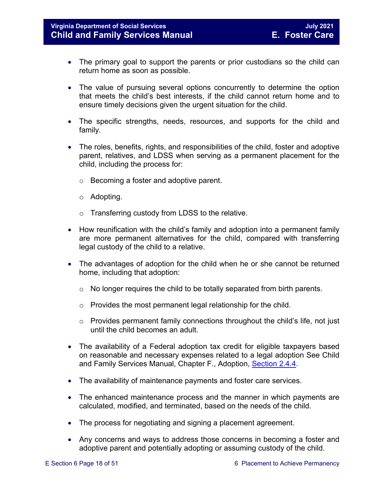#### **Virginia Department of Social Services**<br> **Child and Family Services Manual Child and Family Services Manual Child and Family Services Manual Child and Family Services Manual**

- The primary goal to support the parents or prior custodians so the child can return home as soon as possible.
- The value of pursuing several options concurrently to determine the option that meets the child's best interests, if the child cannot return home and to ensure timely decisions given the urgent situation for the child.
- The specific strengths, needs, resources, and supports for the child and family.
- The roles, benefits, rights, and responsibilities of the child, foster and adoptive parent, relatives, and LDSS when serving as a permanent placement for the child, including the process for:
	- o Becoming a foster and adoptive parent.
	- o Adopting.
	- o Transferring custody from LDSS to the relative.
- How reunification with the child's family and adoption into a permanent family are more permanent alternatives for the child, compared with transferring legal custody of the child to a relative.
- The advantages of adoption for the child when he or she cannot be returned home, including that adoption:
	- $\circ$  No longer requires the child to be totally separated from birth parents.
	- o Provides the most permanent legal relationship for the child.
	- o Provides permanent family connections throughout the child's life, not just until the child becomes an adult.
- The availability of a Federal adoption tax credit for eligible taxpayers based on reasonable and necessary expenses related to a legal adoption See Child and Family Services Manual, Chapter F., Adoption, [Section 2.4.4.](https://fusion.dss.virginia.gov/Portals/%5Bdfs%5D/Files/Adoption/Guidance/2020/section_2_adoption%20assistance.pdf#page=13)
- The availability of maintenance payments and foster care services.
- The enhanced maintenance process and the manner in which payments are calculated, modified, and terminated, based on the needs of the child.
- The process for negotiating and signing a placement agreement.
- Any concerns and ways to address those concerns in becoming a foster and adoptive parent and potentially adopting or assuming custody of the child.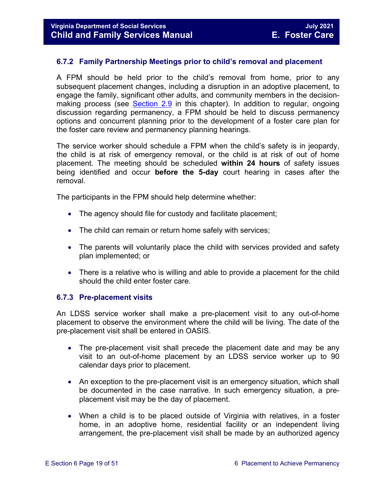#### <span id="page-18-0"></span>**6.7.2 Family Partnership Meetings prior to child's removal and placement**

A FPM should be held prior to the child's removal from home, prior to any subsequent placement changes, including a disruption in an adoptive placement, to engage the family, significant other adults, and community members in the decision-making process (see [Section 2.9](https://fusion.dss.virginia.gov/Portals/%5bdfs%5d/Files/DFS%20Manuals/Foster%20Care%20Manuals/Foster%20Care%20Manual%2007-2020/Final%20Foster%20Care%20Manual%2007-2020/section_2_engaging_the_child_family_and_significant_adults.pdf) in this chapter). In addition to regular, ongoing discussion regarding permanency, a FPM should be held to discuss permanency options and concurrent planning prior to the development of a foster care plan for the foster care review and permanency planning hearings.

The service worker should schedule a FPM when the child's safety is in jeopardy, the child is at risk of emergency removal, or the child is at risk of out of home placement. The meeting should be scheduled **within 24 hours** of safety issues being identified and occur **before the 5-day** court hearing in cases after the removal.

The participants in the FPM should help determine whether:

- The agency should file for custody and facilitate placement;
- The child can remain or return home safely with services;
- The parents will voluntarily place the child with services provided and safety plan implemented; or
- There is a relative who is willing and able to provide a placement for the child should the child enter foster care.

#### <span id="page-18-1"></span>**6.7.3 Pre-placement visits**

An LDSS service worker shall make a pre-placement visit to any out-of-home placement to observe the environment where the child will be living. The date of the pre-placement visit shall be entered in OASIS.

- The pre-placement visit shall precede the placement date and may be any visit to an out-of-home placement by an LDSS service worker up to 90 calendar days prior to placement.
- An exception to the pre-placement visit is an emergency situation, which shall be documented in the case narrative. In such emergency situation, a preplacement visit may be the day of placement.
- When a child is to be placed outside of Virginia with relatives, in a foster home, in an adoptive home, residential facility or an independent living arrangement, the pre-placement visit shall be made by an authorized agency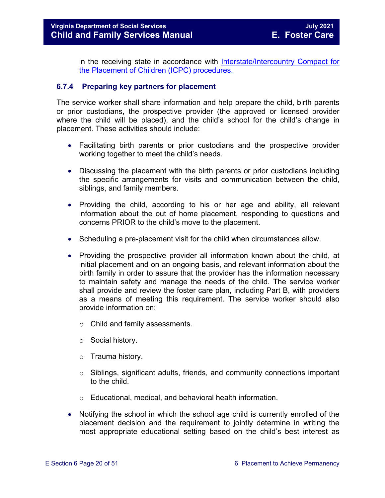in the receiving state in accordance with [Interstate/Intercountry Compact for](http://www.dss.virginia.gov/family/icpc/index.cgi)  [the Placement of Children \(ICPC\) procedures.](http://www.dss.virginia.gov/family/icpc/index.cgi) 

#### <span id="page-19-0"></span>**6.7.4 Preparing key partners for placement**

The service worker shall share information and help prepare the child, birth parents or prior custodians, the prospective provider (the approved or licensed provider where the child will be placed), and the child's school for the child's change in placement. These activities should include:

- Facilitating birth parents or prior custodians and the prospective provider working together to meet the child's needs.
- Discussing the placement with the birth parents or prior custodians including the specific arrangements for visits and communication between the child, siblings, and family members.
- Providing the child, according to his or her age and ability, all relevant information about the out of home placement, responding to questions and concerns PRIOR to the child's move to the placement.
- Scheduling a pre-placement visit for the child when circumstances allow.
- Providing the prospective provider all information known about the child, at initial placement and on an ongoing basis, and relevant information about the birth family in order to assure that the provider has the information necessary to maintain safety and manage the needs of the child. The service worker shall provide and review the foster care plan, including Part B, with providers as a means of meeting this requirement. The service worker should also provide information on:
	- o Child and family assessments.
	- o Social history.
	- o Trauma history.
	- $\circ$  Siblings, significant adults, friends, and community connections important to the child.
	- o Educational, medical, and behavioral health information.
- Notifying the school in which the school age child is currently enrolled of the placement decision and the requirement to jointly determine in writing the most appropriate educational setting based on the child's best interest as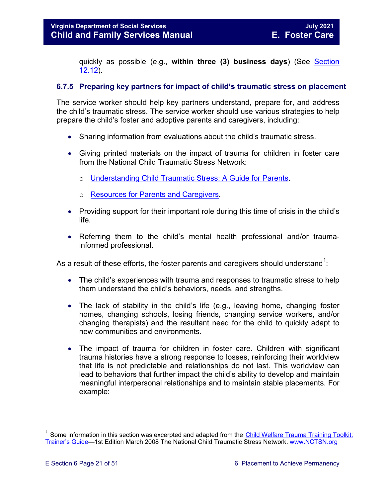quickly as possible (e.g., **within three (3) business days**) (See [Section](https://fusion.dss.virginia.gov/Portals/%5bdfs%5d/Files/DFS%20Manuals/Foster%20Care%20Manuals/Foster%20Care%20Manual%2007-2020/Final%20Foster%20Care%20Manual%2007-2020/section_12_identifying_services_to_be_provided.pdf#page=53)  [12.12\)](https://fusion.dss.virginia.gov/Portals/%5bdfs%5d/Files/DFS%20Manuals/Foster%20Care%20Manuals/Foster%20Care%20Manual%2007-2020/Final%20Foster%20Care%20Manual%2007-2020/section_12_identifying_services_to_be_provided.pdf#page=53).

#### <span id="page-20-0"></span>**6.7.5 Preparing key partners for impact of child's traumatic stress on placement**

The service worker should help key partners understand, prepare for, and address the child's traumatic stress. The service worker should use various strategies to help prepare the child's foster and adoptive parents and caregivers, including:

- Sharing information from evaluations about the child's traumatic stress.
- Giving printed materials on the impact of trauma for children in foster care from the National Child Traumatic Stress Network:
	- o [Understanding Child Traumatic Stress: A Guide for Parents.](http://nctsn.org/sites/default/files/assets/pdfs/ctte_parents.pdf)
	- o [Resources for Parents and Caregivers.](http://www.nctsn.org/resources/audiences/parents-caregivers)
- Providing support for their important role during this time of crisis in the child's life.
- Referring them to the child's mental health professional and/or traumainformed professional.

As a result of these efforts, the foster parents and caregivers should understand $^1\!$  $^1\!$  $^1\!$ :

- The child's experiences with trauma and responses to traumatic stress to help them understand the child's behaviors, needs, and strengths.
- The lack of stability in the child's life (e.g., leaving home, changing foster homes, changing schools, losing friends, changing service workers, and/or changing therapists) and the resultant need for the child to quickly adapt to new communities and environments.
- The impact of trauma for children in foster care. Children with significant trauma histories have a strong response to losses, reinforcing their worldview that life is not predictable and relationships do not last. This worldview can lead to behaviors that further impact the child's ability to develop and maintain meaningful interpersonal relationships and to maintain stable placements. For example:

t

<span id="page-20-1"></span>Some information in this section was excerpted and adapted from the Child Welfare Trauma Training Toolkit: [Trainer's Guide—](http://www.nctsn.org/nctsn_assets/pdfs/CWT3_TrainersGuide.pdf)1st Edition March 2008 The National Child Traumatic Stress Network. [www.NCTSN.org](file://Vaultcelerra.co.dss.state.va.us/Workgroup/Family_Services/DFS%20Child%20and%20Family%20Services%20Manual/FC%20guidance%20updates%20forJanuary%202014%20posting/FOSTER%20CARE%20April%202013_updates%20to%20guidance%20for%20October%202013%20posting/www.NCTSN.org)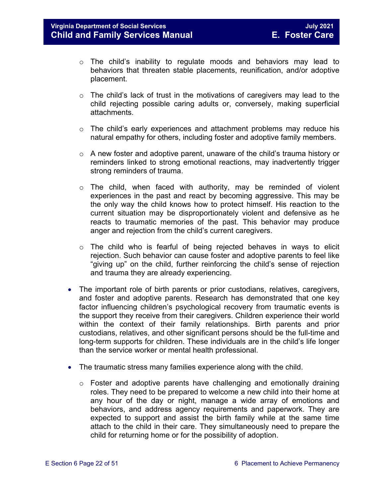- $\circ$  The child's inability to regulate moods and behaviors may lead to behaviors that threaten stable placements, reunification, and/or adoptive placement.
- $\circ$  The child's lack of trust in the motivations of caregivers may lead to the child rejecting possible caring adults or, conversely, making superficial attachments.
- $\circ$  The child's early experiences and attachment problems may reduce his natural empathy for others, including foster and adoptive family members.
- $\circ$  A new foster and adoptive parent, unaware of the child's trauma history or reminders linked to strong emotional reactions, may inadvertently trigger strong reminders of trauma.
- $\circ$  The child, when faced with authority, may be reminded of violent experiences in the past and react by becoming aggressive. This may be the only way the child knows how to protect himself. His reaction to the current situation may be disproportionately violent and defensive as he reacts to traumatic memories of the past. This behavior may produce anger and rejection from the child's current caregivers.
- $\circ$  The child who is fearful of being rejected behaves in ways to elicit rejection. Such behavior can cause foster and adoptive parents to feel like "giving up" on the child, further reinforcing the child's sense of rejection and trauma they are already experiencing.
- The important role of birth parents or prior custodians, relatives, caregivers, and foster and adoptive parents. Research has demonstrated that one key factor influencing children's psychological recovery from traumatic events is the support they receive from their caregivers. Children experience their world within the context of their family relationships. Birth parents and prior custodians, relatives, and other significant persons should be the full-time and long-term supports for children. These individuals are in the child's life longer than the service worker or mental health professional.
- The traumatic stress many families experience along with the child.
	- $\circ$  Foster and adoptive parents have challenging and emotionally draining roles. They need to be prepared to welcome a new child into their home at any hour of the day or night, manage a wide array of emotions and behaviors, and address agency requirements and paperwork. They are expected to support and assist the birth family while at the same time attach to the child in their care. They simultaneously need to prepare the child for returning home or for the possibility of adoption.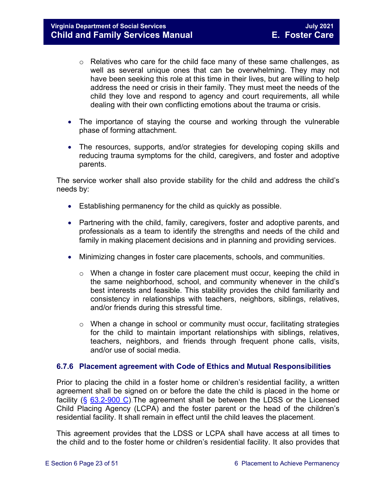- $\circ$  Relatives who care for the child face many of these same challenges, as well as several unique ones that can be overwhelming. They may not have been seeking this role at this time in their lives, but are willing to help address the need or crisis in their family. They must meet the needs of the child they love and respond to agency and court requirements, all while dealing with their own conflicting emotions about the trauma or crisis.
- The importance of staying the course and working through the vulnerable phase of forming attachment.
- The resources, supports, and/or strategies for developing coping skills and reducing trauma symptoms for the child, caregivers, and foster and adoptive parents.

The service worker shall also provide stability for the child and address the child's needs by:

- Establishing permanency for the child as quickly as possible.
- Partnering with the child, family, caregivers, foster and adoptive parents, and professionals as a team to identify the strengths and needs of the child and family in making placement decisions and in planning and providing services.
- Minimizing changes in foster care placements, schools, and communities.
	- o When a change in foster care placement must occur, keeping the child in the same neighborhood, school, and community whenever in the child's best interests and feasible. This stability provides the child familiarity and consistency in relationships with teachers, neighbors, siblings, relatives, and/or friends during this stressful time.
	- o When a change in school or community must occur, facilitating strategies for the child to maintain important relationships with siblings, relatives, teachers, neighbors, and friends through frequent phone calls, visits, and/or use of social media.

#### <span id="page-22-0"></span>**6.7.6 Placement agreement with Code of Ethics and Mutual Responsibilities**

Prior to placing the child in a foster home or children's residential facility, a written agreement shall be signed on or before the date the child is placed in the home or facility (§ [63.2-900 C\)](https://law.lis.virginia.gov/vacode/63.2-900/).The agreement shall be between the LDSS or the Licensed Child Placing Agency (LCPA) and the foster parent or the head of the children's residential facility. It shall remain in effect until the child leaves the placement.

This agreement provides that the LDSS or LCPA shall have access at all times to the child and to the foster home or children's residential facility. It also provides that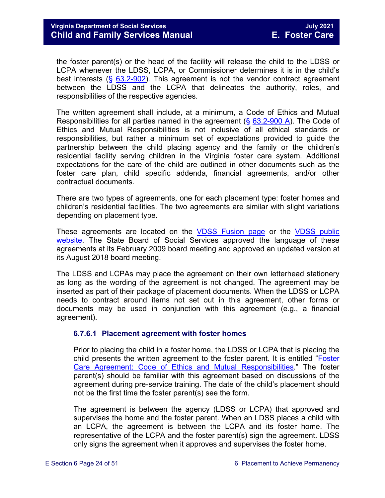the foster parent(s) or the head of the facility will release the child to the LDSS or LCPA whenever the LDSS, LCPA, or Commissioner determines it is in the child's best interests (§ [63.2-902\)](https://law.lis.virginia.gov/vacode/63.2-902/). This agreement is not the vendor contract agreement between the LDSS and the LCPA that delineates the authority, roles, and responsibilities of the respective agencies.

The written agreement shall include, at a minimum, a Code of Ethics and Mutual Responsibilities for all parties named in the agreement  $(\S$  [63.2-900 A\)](https://law.lis.virginia.gov/vacode/63.2-900/). The Code of Ethics and Mutual Responsibilities is not inclusive of all ethical standards or responsibilities, but rather a minimum set of expectations provided to guide the partnership between the child placing agency and the family or the children's residential facility serving children in the Virginia foster care system. Additional expectations for the care of the child are outlined in other documents such as the foster care plan, child specific addenda, financial agreements, and/or other contractual documents.

There are two types of agreements, one for each placement type: foster homes and children's residential facilities. The two agreements are similar with slight variations depending on placement type.

These agreements are located on the [VDSS Fusion](https://fusion.dss.virginia.gov/dfs/DFS-Home/Foster-Care/Foster-Care-Forms) page or the VDSS public [website.](http://www.dss.virginia.gov/family/fc/index.cgi) The State Board of Social Services approved the language of these agreements at its February 2009 board meeting and approved an updated version at its August 2018 board meeting.

The LDSS and LCPAs may place the agreement on their own letterhead stationery as long as the wording of the agreement is not changed. The agreement may be inserted as part of their package of placement documents. When the LDSS or LCPA needs to contract around items not set out in this agreement, other forms or documents may be used in conjunction with this agreement (e.g., a financial agreement).

#### <span id="page-23-0"></span>**6.7.6.1 Placement agreement with foster homes**

Prior to placing the child in a foster home, the LDSS or LCPA that is placing the child presents the written agreement to the foster parent. It is entitled ["Foster](https://fusion.dss.virginia.gov/Portals/%5Bdfs%5D/Files/DFS%20FORMS/Family%20Services-Generic%20Forms/Foster%20Care%20Agreement%20with%20Code%20of%20Ethics%20and%20Mutual%20Responsibilities.pdf)  [Care Agreement: Code of Ethics and Mutual Responsibilities.](https://fusion.dss.virginia.gov/Portals/%5Bdfs%5D/Files/DFS%20FORMS/Family%20Services-Generic%20Forms/Foster%20Care%20Agreement%20with%20Code%20of%20Ethics%20and%20Mutual%20Responsibilities.pdf)" The foster parent(s) should be familiar with this agreement based on discussions of the agreement during pre-service training. The date of the child's placement should not be the first time the foster parent(s) see the form.

The agreement is between the agency (LDSS or LCPA) that approved and supervises the home and the foster parent. When an LDSS places a child with an LCPA, the agreement is between the LCPA and its foster home. The representative of the LCPA and the foster parent(s) sign the agreement. LDSS only signs the agreement when it approves and supervises the foster home.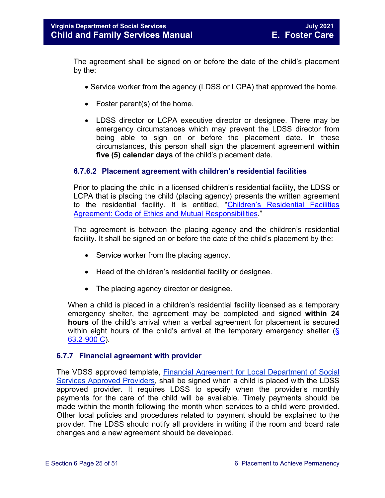The agreement shall be signed on or before the date of the child's placement by the:

- Service worker from the agency (LDSS or LCPA) that approved the home.
- Foster parent(s) of the home.
- LDSS director or LCPA executive director or designee. There may be emergency circumstances which may prevent the LDSS director from being able to sign on or before the placement date. In these circumstances, this person shall sign the placement agreement **within five (5) calendar days** of the child's placement date.

#### <span id="page-24-0"></span>**6.7.6.2 Placement agreement with children's residential facilities**

Prior to placing the child in a licensed children's residential facility, the LDSS or LCPA that is placing the child (placing agency) presents the written agreement to the residential facility. It is entitled, "Children's [Residential Facilities](https://fusion.dss.virginia.gov/Portals/%5Bdfs%5D/Files/DFS%20FORMS/Foster%20Care%20Forms/Childrens%20Residential%20Facility%20with%20Code%20of%20Ethics%20and%20Mutual%20Responsibilities.pdf)  [Agreement: Code of Ethics and Mutual Responsibilities.](https://fusion.dss.virginia.gov/Portals/%5Bdfs%5D/Files/DFS%20FORMS/Foster%20Care%20Forms/Childrens%20Residential%20Facility%20with%20Code%20of%20Ethics%20and%20Mutual%20Responsibilities.pdf)"

The agreement is between the placing agency and the children's residential facility. It shall be signed on or before the date of the child's placement by the:

- Service worker from the placing agency.
- Head of the children's residential facility or designee.
- The placing agency director or designee.

When a child is placed in a children's residential facility licensed as a temporary emergency shelter, the agreement may be completed and signed **within 24 hours** of the child's arrival when a verbal agreement for placement is secured within eight hours of the child's arrival at the temporary emergency shelter ( $\S$ [63.2-900 C\)](https://law.lis.virginia.gov/vacode/63.2-900/).

#### <span id="page-24-1"></span>**6.7.7 Financial agreement with provider**

The VDSS approved template, [Financial Agreement for Local Department of Social](https://fusion.dss.virginia.gov/Portals/%5Bdfs%5D/Files/Family%20Recruitment/Family%20Recruitment%20Forms/Financial%20Agreement%20for%20Local%20Department%20of%20Social%20Services%20Approved%20Providers%20%28Foster%20Parents%29.pdf)  [Services Approved Providers,](https://fusion.dss.virginia.gov/Portals/%5Bdfs%5D/Files/Family%20Recruitment/Family%20Recruitment%20Forms/Financial%20Agreement%20for%20Local%20Department%20of%20Social%20Services%20Approved%20Providers%20%28Foster%20Parents%29.pdf) shall be signed when a child is placed with the LDSS approved provider. It requires LDSS to specify when the provider's monthly payments for the care of the child will be available. Timely payments should be made within the month following the month when services to a child were provided. Other local policies and procedures related to payment should be explained to the provider. The LDSS should notify all providers in writing if the room and board rate changes and a new agreement should be developed.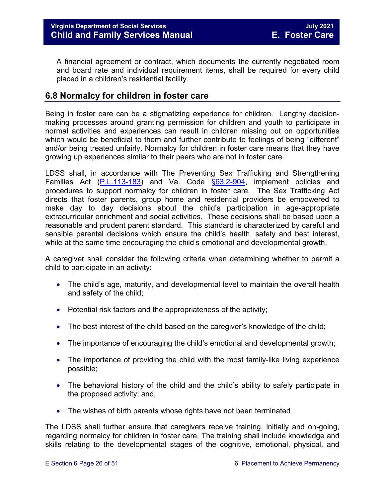A financial agreement or contract, which documents the currently negotiated room and board rate and individual requirement items, shall be required for every child placed in a children's residential facility.

#### <span id="page-25-0"></span>**6.8 Normalcy for children in foster care**

Being in foster care can be a stigmatizing experience for children. Lengthy decisionmaking processes around granting permission for children and youth to participate in normal activities and experiences can result in children missing out on opportunities which would be beneficial to them and further contribute to feelings of being "different" and/or being treated unfairly. Normalcy for children in foster care means that they have growing up experiences similar to their peers who are not in foster care.

LDSS shall, in accordance with The Preventing Sex Trafficking and Strengthening Families Act [\(P.L.113-183\)](https://www.congress.gov/113/plaws/publ183/PLAW-113publ183.pdf) and Va. Code [§63.2-904,](https://law.lis.virginia.gov/vacode/63.2-904/) implement policies and procedures to support normalcy for children in foster care. The Sex Trafficking Act directs that foster parents, group home and residential providers be empowered to make day to day decisions about the child's participation in age-appropriate extracurricular enrichment and social activities. These decisions shall be based upon a reasonable and prudent parent standard. This standard is characterized by careful and sensible parental decisions which ensure the child's health, safety and best interest, while at the same time encouraging the child's emotional and developmental growth.

A caregiver shall consider the following criteria when determining whether to permit a child to participate in an activity:

- The child's age, maturity, and developmental level to maintain the overall health and safety of the child;
- Potential risk factors and the appropriateness of the activity;
- The best interest of the child based on the caregiver's knowledge of the child;
- The importance of encouraging the child's emotional and developmental growth;
- The importance of providing the child with the most family-like living experience possible;
- The behavioral history of the child and the child's ability to safely participate in the proposed activity; and,
- The wishes of birth parents whose rights have not been terminated

The LDSS shall further ensure that caregivers receive training, initially and on-going, regarding normalcy for children in foster care. The training shall include knowledge and skills relating to the developmental stages of the cognitive, emotional, physical, and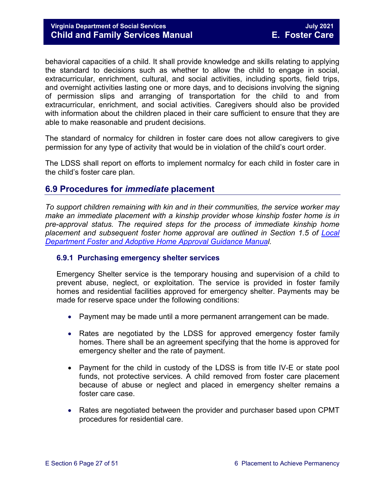behavioral capacities of a child. It shall provide knowledge and skills relating to applying the standard to decisions such as whether to allow the child to engage in social, extracurricular, enrichment, cultural, and social activities, including sports, field trips, and overnight activities lasting one or more days, and to decisions involving the signing of permission slips and arranging of transportation for the child to and from extracurricular, enrichment, and social activities. Caregivers should also be provided with information about the children placed in their care sufficient to ensure that they are able to make reasonable and prudent decisions.

The standard of normalcy for children in foster care does not allow caregivers to give permission for any type of activity that would be in violation of the child's court order.

The LDSS shall report on efforts to implement normalcy for each child in foster care in the child's foster care plan.

#### <span id="page-26-0"></span>**6.9 Procedures for** *immediate* **placement**

*To support children remaining with kin and in their communities, the service worker may make an immediate placement with a kinship provider whose kinship foster home is in pre-approval status. The required steps for the process of immediate kinship home placement and subsequent foster home approval are outlined in Section 1.5 of [Local](https://fusion.dss.virginia.gov/dfs/DFS-Home/Family-Recruitment/Family-Recruitment-Guidance)  [Department Foster and Adoptive Home Approval Guidance Manual](https://fusion.dss.virginia.gov/dfs/DFS-Home/Family-Recruitment/Family-Recruitment-Guidance).* 

#### <span id="page-26-1"></span>**6.9.1 Purchasing emergency shelter services**

Emergency Shelter service is the temporary housing and supervision of a child to prevent abuse, neglect, or exploitation. The service is provided in foster family homes and residential facilities approved for emergency shelter. Payments may be made for reserve space under the following conditions:

- Payment may be made until a more permanent arrangement can be made.
- Rates are negotiated by the LDSS for approved emergency foster family homes. There shall be an agreement specifying that the home is approved for emergency shelter and the rate of payment.
- Payment for the child in custody of the LDSS is from title IV-E or state pool funds, not protective services. A child removed from foster care placement because of abuse or neglect and placed in emergency shelter remains a foster care case.
- Rates are negotiated between the provider and purchaser based upon CPMT procedures for residential care.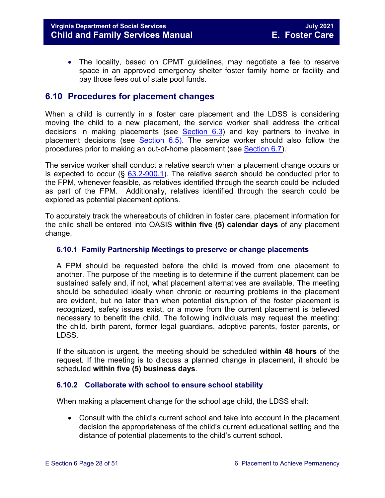• The locality, based on CPMT guidelines, may negotiate a fee to reserve space in an approved emergency shelter foster family home or facility and pay those fees out of state pool funds.

#### <span id="page-27-0"></span>**6.10 Procedures for placement changes**

When a child is currently in a foster care placement and the LDSS is considering moving the child to a new placement, the service worker shall address the critical decisions in making placements (see [Section 6.3\)](#page-9-0) and key partners to involve in placement decisions (see [Section 6.5\).](#page-14-1) The service worker should also follow the procedures prior to making an out-of-home placement (see [Section 6.7\)](#page-16-0).

The service worker shall conduct a relative search when a placement change occurs or is expected to occur ( $\frac{63.2-900.1}{2}$ . The relative search should be conducted prior to the FPM, whenever feasible, as relatives identified through the search could be included as part of the FPM. Additionally, relatives identified through the search could be explored as potential placement options.

To accurately track the whereabouts of children in foster care, placement information for the child shall be entered into OASIS **within five (5) calendar days** of any placement change.

#### <span id="page-27-1"></span>**6.10.1 Family Partnership Meetings to preserve or change placements**

A FPM should be requested before the child is moved from one placement to another. The purpose of the meeting is to determine if the current placement can be sustained safely and, if not, what placement alternatives are available. The meeting should be scheduled ideally when chronic or recurring problems in the placement are evident, but no later than when potential disruption of the foster placement is recognized, safety issues exist, or a move from the current placement is believed necessary to benefit the child. The following individuals may request the meeting: the child, birth parent, former legal guardians, adoptive parents, foster parents, or LDSS.

If the situation is urgent, the meeting should be scheduled **within 48 hours** of the request. If the meeting is to discuss a planned change in placement, it should be scheduled **within five (5) business days**.

#### <span id="page-27-2"></span>**6.10.2 Collaborate with school to ensure school stability**

When making a placement change for the school age child, the LDSS shall:

• Consult with the child's current school and take into account in the placement decision the appropriateness of the child's current educational setting and the distance of potential placements to the child's current school.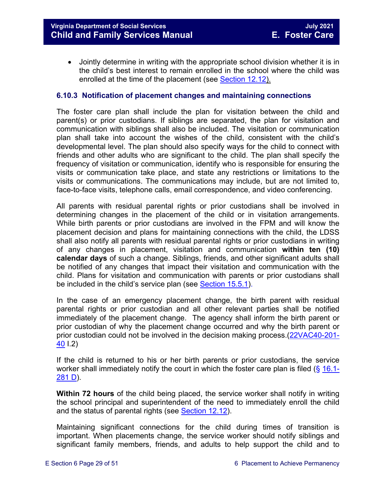• Jointly determine in writing with the appropriate school division whether it is in the child's best interest to remain enrolled in the school where the child was enrolled at the time of the placement (see [Section 12.12\)](https://fusion.dss.virginia.gov/Portals/%5bdfs%5d/Files/DFS%20Manuals/Foster%20Care%20Manuals/Foster%20Care%20Manual%2007-2020/Final%20Foster%20Care%20Manual%2007-2020/section_12_identifying_services_to_be_provided.pdf#page=53).

#### <span id="page-28-0"></span>**6.10.3 Notification of placement changes and maintaining connections**

The foster care plan shall include the plan for visitation between the child and parent(s) or prior custodians. If siblings are separated, the plan for visitation and communication with siblings shall also be included. The visitation or communication plan shall take into account the wishes of the child, consistent with the child's developmental level. The plan should also specify ways for the child to connect with friends and other adults who are significant to the child. The plan shall specify the frequency of visitation or communication, identify who is responsible for ensuring the visits or communication take place, and state any restrictions or limitations to the visits or communications. The communications may include, but are not limited to, face-to-face visits, telephone calls, email correspondence, and video conferencing.

All parents with residual parental rights or prior custodians shall be involved in determining changes in the placement of the child or in visitation arrangements. While birth parents or prior custodians are involved in the FPM and will know the placement decision and plans for maintaining connections with the child, the LDSS shall also notify all parents with residual parental rights or prior custodians in writing of any changes in placement, visitation and communication **within ten (10) calendar days** of such a change. Siblings, friends, and other significant adults shall be notified of any changes that impact their visitation and communication with the child. Plans for visitation and communication with parents or prior custodians shall be included in the child's service plan (see [Section 15.5.1\)](https://fusion.dss.virginia.gov/Portals/%5bdfs%5d/Files/DFS%20Manuals/Foster%20Care%20Manuals/Foster%20Care%20Manual%2007-2020/Final%20Foster%20Care%20Manual%2007-2020/section_15_developing_service_plan.pdf#page=7).

In the case of an emergency placement change, the birth parent with residual parental rights or prior custodian and all other relevant parties shall be notified immediately of the placement change. The agency shall inform the birth parent or prior custodian of why the placement change occurred and why the birth parent or prior custodian could not be involved in the decision making process.[\(22VAC40-201-](http://leg1.state.va.us/cgi-bin/legp504.exe?000+reg+22VAC40-201-40) [40](http://leg1.state.va.us/cgi-bin/legp504.exe?000+reg+22VAC40-201-40) I.2)

If the child is returned to his or her birth parents or prior custodians, the service worker shall immediately notify the court in which the foster care plan is filed (§ [16.1-](https://law.lis.virginia.gov/vacode/16.1-281/) [281 D\)](https://law.lis.virginia.gov/vacode/16.1-281/).

**Within 72 hours** of the child being placed, the service worker shall notify in writing the school principal and superintendent of the need to immediately enroll the child and the status of parental rights (see [Section 12.12\)](https://fusion.dss.virginia.gov/Portals/%5bdfs%5d/Files/DFS%20Manuals/Foster%20Care%20Manuals/Foster%20Care%20Manual%2007-2020/Final%20Foster%20Care%20Manual%2007-2020/section_12_identifying_services_to_be_provided.pdf).

Maintaining significant connections for the child during times of transition is important. When placements change, the service worker should notify siblings and significant family members, friends, and adults to help support the child and to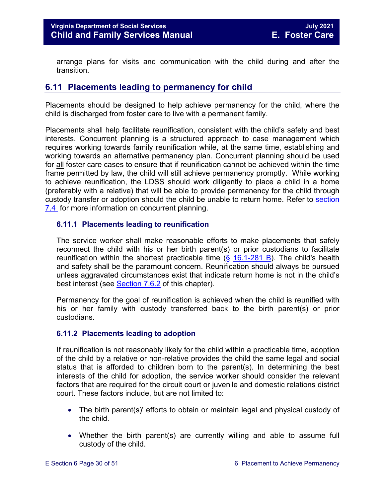arrange plans for visits and communication with the child during and after the transition.

#### <span id="page-29-0"></span>**6.11 Placements leading to permanency for child**

Placements should be designed to help achieve permanency for the child, where the child is discharged from foster care to live with a permanent family.

Placements shall help facilitate reunification, consistent with the child's safety and best interests. Concurrent planning is a structured approach to case management which requires working towards family reunification while, at the same time, establishing and working towards an alternative permanency plan. Concurrent planning should be used for all foster care cases to ensure that if reunification cannot be achieved within the time frame permitted by law, the child will still achieve permanency promptly. While working to achieve reunification, the LDSS should work diligently to place a child in a home (preferably with a relative) that will be able to provide permanency for the child through custody transfer or adoption should the child be unable to return home. Refer to [section](https://fusion.dss.virginia.gov/Portals/%5bdfs%5d/Files/DFS%20Manuals/Foster%20Care%20Manuals/Foster%20Care%20Manual%2007-2020/Final%20Foster%20Care%20Manual%2007-2020/section_7_selecting_permanency_goals.pdf#page=7)  [7.4](https://fusion.dss.virginia.gov/Portals/%5bdfs%5d/Files/DFS%20Manuals/Foster%20Care%20Manuals/Foster%20Care%20Manual%2007-2020/Final%20Foster%20Care%20Manual%2007-2020/section_7_selecting_permanency_goals.pdf#page=7) for more information on concurrent planning.

#### <span id="page-29-1"></span>**6.11.1 Placements leading to reunification**

The service worker shall make reasonable efforts to make placements that safely reconnect the child with his or her birth parent(s) or prior custodians to facilitate reunification within the shortest practicable time  $(\S$  [16.1-281 B\)](https://law.lis.virginia.gov/vacode/16.1-281/). The child's health and safety shall be the paramount concern. Reunification should always be pursued unless aggravated circumstances exist that indicate return home is not in the child's best interest (see [Section](https://fusion.dss.virginia.gov/Portals/%5bdfs%5d/Files/DFS%20Manuals/Foster%20Care%20Manuals/Foster%20Care%20Manual%2007-2020/Final%20Foster%20Care%20Manual%2007-2020/section_7_selecting_permanency_goals.pdf#page=14) 7.6.2 of this chapter).

Permanency for the goal of reunification is achieved when the child is reunified with his or her family with custody transferred back to the birth parent(s) or prior custodians.

#### <span id="page-29-2"></span>**6.11.2 Placements leading to adoption**

If reunification is not reasonably likely for the child within a practicable time, adoption of the child by a relative or non-relative provides the child the same legal and social status that is afforded to children born to the parent(s). In determining the best interests of the child for adoption, the service worker should consider the relevant factors that are required for the circuit court or juvenile and domestic relations district court. These factors include, but are not limited to:

- The birth parent(s)' efforts to obtain or maintain legal and physical custody of the child.
- Whether the birth parent(s) are currently willing and able to assume full custody of the child.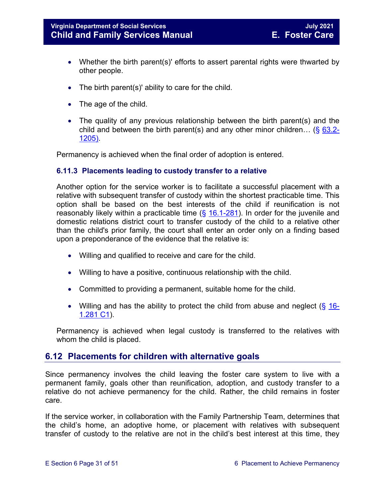- Whether the birth parent(s)' efforts to assert parental rights were thwarted by other people.
- The birth parent(s)' ability to care for the child.
- The age of the child.
- The quality of any previous relationship between the birth parent(s) and the child and between the birth parent(s) and any other minor children... (§  $63.2-$ [1205\).](https://law.lis.virginia.gov/vacode/63.2-1205/)

Permanency is achieved when the final order of adoption is entered.

#### <span id="page-30-0"></span>**6.11.3 Placements leading to custody transfer to a relative**

Another option for the service worker is to facilitate a successful placement with a relative with subsequent transfer of custody within the shortest practicable time. This option shall be based on the best interests of the child if reunification is not reasonably likely within a practicable time  $(\frac{6}{16.1} - 281)$ . In order for the juvenile and domestic relations district court to transfer custody of the child to a relative other than the child's prior family, the court shall enter an order only on a finding based upon a preponderance of the evidence that the relative is:

- Willing and qualified to receive and care for the child.
- Willing to have a positive, continuous relationship with the child.
- Committed to providing a permanent, suitable home for the child.
- Willing and has the ability to protect the child from abuse and neglect  $(\S 16$ -[1.281 C1\)](https://law.lis.virginia.gov/vacode/16.1-281/).

Permanency is achieved when legal custody is transferred to the relatives with whom the child is placed.

#### <span id="page-30-1"></span>**6.12 Placements for children with alternative goals**

Since permanency involves the child leaving the foster care system to live with a permanent family, goals other than reunification, adoption, and custody transfer to a relative do not achieve permanency for the child. Rather, the child remains in foster care.

If the service worker, in collaboration with the Family Partnership Team, determines that the child's home, an adoptive home, or placement with relatives with subsequent transfer of custody to the relative are not in the child's best interest at this time, they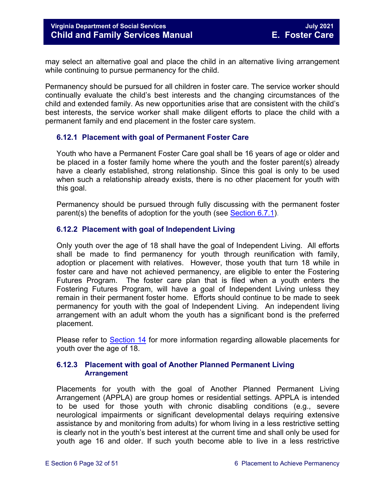may select an alternative goal and place the child in an alternative living arrangement while continuing to pursue permanency for the child.

Permanency should be pursued for all children in foster care. The service worker should continually evaluate the child's best interests and the changing circumstances of the child and extended family. As new opportunities arise that are consistent with the child's best interests, the service worker shall make diligent efforts to place the child with a permanent family and end placement in the foster care system.

#### <span id="page-31-0"></span>**6.12.1 Placement with goal of Permanent Foster Care**

Youth who have a Permanent Foster Care goal shall be 16 years of age or older and be placed in a foster family home where the youth and the foster parent(s) already have a clearly established, strong relationship. Since this goal is only to be used when such a relationship already exists, there is no other placement for youth with this goal.

Permanency should be pursued through fully discussing with the permanent foster parent(s) the benefits of adoption for the youth (see [Section 6.7.1\)](#page-16-1).

#### <span id="page-31-1"></span>**6.12.2 Placement with goal of Independent Living**

Only youth over the age of 18 shall have the goal of Independent Living. All efforts shall be made to find permanency for youth through reunification with family, adoption or placement with relatives. However, those youth that turn 18 while in foster care and have not achieved permanency, are eligible to enter the Fostering Futures Program. The foster care plan that is filed when a youth enters the Fostering Futures Program, will have a goal of Independent Living unless they remain in their permanent foster home. Efforts should continue to be made to seek permanency for youth with the goal of Independent Living. An independent living arrangement with an adult whom the youth has a significant bond is the preferred placement.

Please refer to [Section](https://fusion.dss.virginia.gov/Portals/%5bdfs%5d/Files/DFS%20Manuals/Foster%20Care%20Manuals/Foster%20Care%20Manual%2007-2020/Final%20Foster%20Care%20Manual%2007-2020/Section_14_Fostering_Futures.pdf) 14 for more information regarding allowable placements for youth over the age of 18.

#### <span id="page-31-2"></span>**6.12.3 Placement with goal of Another Planned Permanent Living Arrangement**

Placements for youth with the goal of Another Planned Permanent Living Arrangement (APPLA) are group homes or residential settings. APPLA is intended to be used for those youth with chronic disabling conditions (e.g., severe neurological impairments or significant developmental delays requiring extensive assistance by and monitoring from adults) for whom living in a less restrictive setting is clearly not in the youth's best interest at the current time and shall only be used for youth age 16 and older. If such youth become able to live in a less restrictive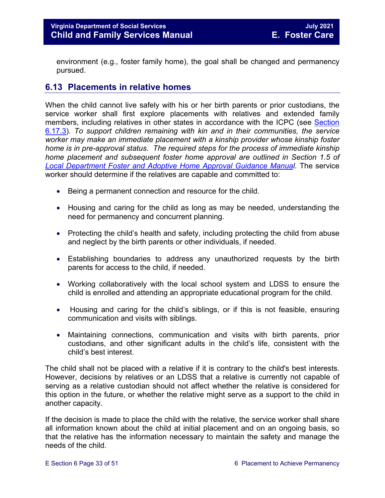environment (e.g., foster family home), the goal shall be changed and permanency pursued.

#### <span id="page-32-0"></span>**6.13 Placements in relative homes**

When the child cannot live safely with his or her birth parents or prior custodians, the service worker shall first explore placements with relatives and extended family members, including relatives in other states in accordance with the ICPC (see [Section](#page-47-2)  [6.17.3\)](#page-47-2). *To support children remaining with kin and in their communities, the service worker may make an immediate placement with a kinship provider whose kinship foster home is in pre-approval status. The required steps for the process of immediate kinship home placement and subsequent foster home approval are outlined in Section 1.5 of [Local Department Foster and Adoptive Home Approval Guidance Manual](https://fusion.dss.virginia.gov/dfs/DFS-Home/Family-Recruitment/Family-Recruitment-Guidance).* The service worker should determine if the relatives are capable and committed to:

- Being a permanent connection and resource for the child.
- Housing and caring for the child as long as may be needed, understanding the need for permanency and concurrent planning.
- Protecting the child's health and safety, including protecting the child from abuse and neglect by the birth parents or other individuals, if needed.
- Establishing boundaries to address any unauthorized requests by the birth parents for access to the child, if needed.
- Working collaboratively with the local school system and LDSS to ensure the child is enrolled and attending an appropriate educational program for the child.
- Housing and caring for the child's siblings, or if this is not feasible, ensuring communication and visits with siblings.
- Maintaining connections, communication and visits with birth parents, prior custodians, and other significant adults in the child's life, consistent with the child's best interest.

The child shall not be placed with a relative if it is contrary to the child's best interests. However, decisions by relatives or an LDSS that a relative is currently not capable of serving as a relative custodian should not affect whether the relative is considered for this option in the future, or whether the relative might serve as a support to the child in another capacity.

If the decision is made to place the child with the relative, the service worker shall share all information known about the child at initial placement and on an ongoing basis, so that the relative has the information necessary to maintain the safety and manage the needs of the child.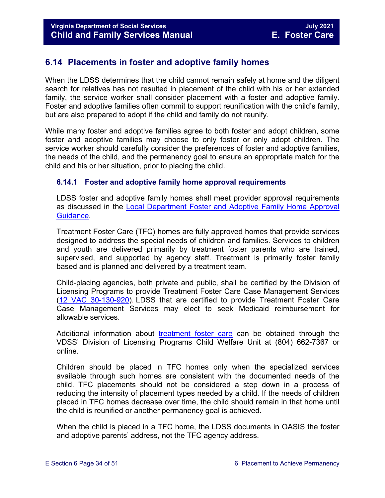#### <span id="page-33-0"></span>**6.14 Placements in foster and adoptive family homes**

When the LDSS determines that the child cannot remain safely at home and the diligent search for relatives has not resulted in placement of the child with his or her extended family, the service worker shall consider placement with a foster and adoptive family. Foster and adoptive families often commit to support reunification with the child's family, but are also prepared to adopt if the child and family do not reunify.

While many foster and adoptive families agree to both foster and adopt children, some foster and adoptive families may choose to only foster or only adopt children. The service worker should carefully consider the preferences of foster and adoptive families, the needs of the child, and the permanency goal to ensure an appropriate match for the child and his or her situation, prior to placing the child.

#### <span id="page-33-1"></span>**6.14.1 Foster and adoptive family home approval requirements**

LDSS foster and adoptive family homes shall meet provider approval requirements as discussed in the [Local Department Foster and Adoptive Family Home Approval](https://fusion.dss.virginia.gov/dfs/DFS-Home/Family-Recruitment/Family-Recruitment-Guidance)  [Guidance.](https://fusion.dss.virginia.gov/dfs/DFS-Home/Family-Recruitment/Family-Recruitment-Guidance)

Treatment Foster Care (TFC) homes are fully approved homes that provide services designed to address the special needs of children and families. Services to children and youth are delivered primarily by treatment foster parents who are trained, supervised, and supported by agency staff. Treatment is primarily foster family based and is planned and delivered by a treatment team.

Child-placing agencies, both private and public, shall be certified by the Division of Licensing Programs to provide Treatment Foster Care Case Management Services [\(12 VAC 30-130-920\)](http://leg1.state.va.us/cgi-bin/legp504.exe?000+reg+12VAC30-130-920). LDSS that are certified to provide Treatment Foster Care Case Management Services may elect to seek Medicaid reimbursement for allowable services.

Additional information about [treatment foster care](http://dss.virginia.gov/facility/lcpa.cgi) can be obtained through the VDSS' Division of Licensing Programs Child Welfare Unit at (804) 662-7367 or online.

Children should be placed in TFC homes only when the specialized services available through such homes are consistent with the documented needs of the child. TFC placements should not be considered a step down in a process of reducing the intensity of placement types needed by a child. If the needs of children placed in TFC homes decrease over time, the child should remain in that home until the child is reunified or another permanency goal is achieved.

When the child is placed in a TFC home, the LDSS documents in OASIS the foster and adoptive parents' address, not the TFC agency address.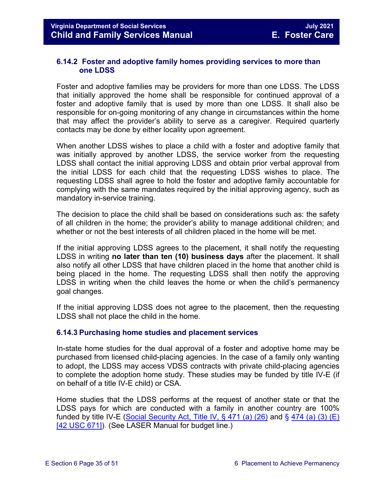#### <span id="page-34-0"></span>**6.14.2 Foster and adoptive family homes providing services to more than one LDSS**

Foster and adoptive families may be providers for more than one LDSS. The LDSS that initially approved the home shall be responsible for continued approval of a foster and adoptive family that is used by more than one LDSS. It shall also be responsible for on-going monitoring of any change in circumstances within the home that may affect the provider's ability to serve as a caregiver. Required quarterly contacts may be done by either locality upon agreement.

When another LDSS wishes to place a child with a foster and adoptive family that was initially approved by another LDSS, the service worker from the requesting LDSS shall contact the initial approving LDSS and obtain prior verbal approval from the initial LDSS for each child that the requesting LDSS wishes to place. The requesting LDSS shall agree to hold the foster and adoptive family accountable for complying with the same mandates required by the initial approving agency, such as mandatory in-service training.

The decision to place the child shall be based on considerations such as: the safety of all children in the home; the provider's ability to manage additional children; and whether or not the best interests of all children placed in the home will be met.

If the initial approving LDSS agrees to the placement, it shall notify the requesting LDSS in writing **no later than ten (10) business days** after the placement. It shall also notify all other LDSS that have children placed in the home that another child is being placed in the home. The requesting LDSS shall then notify the approving LDSS in writing when the child leaves the home or when the child's permanency goal changes.

If the initial approving LDSS does not agree to the placement, then the requesting LDSS shall not place the child in the home.

#### <span id="page-34-1"></span>**6.14.3 Purchasing home studies and placement services**

In-state home studies for the dual approval of a foster and adoptive home may be purchased from licensed child-placing agencies. In the case of a family only wanting to adopt, the LDSS may access VDSS contracts with private child-placing agencies to complete the adoption home study. These studies may be funded by title IV-E (if on behalf of a title IV-E child) or CSA.

Home studies that the LDSS performs at the request of another state or that the LDSS pays for which are conducted with a family in another country are 100% funded by title IV-E (Social Security Act, Title IV,  $\S$  471 (a) (26) and  $\S$  474 (a) (3) (E) [\[42 USC 671\]\)](http://www.ssa.gov/OP_Home/ssact/title04/0474.htm). (See LASER Manual for budget line.)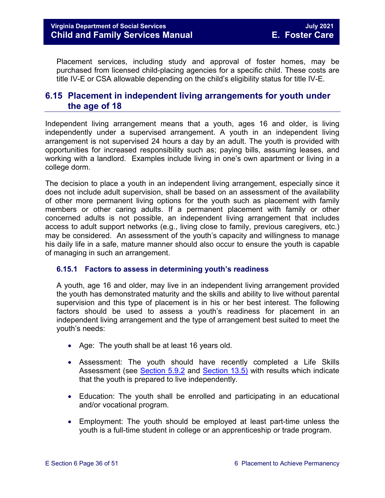Placement services, including study and approval of foster homes, may be purchased from licensed child-placing agencies for a specific child. These costs are title IV-E or CSA allowable depending on the child's eligibility status for title IV-E.

#### <span id="page-35-0"></span>**6.15 Placement in independent living arrangements for youth under the age of 18**

Independent living arrangement means that a youth, ages 16 and older, is living independently under a supervised arrangement. A youth in an independent living arrangement is not supervised 24 hours a day by an adult. The youth is provided with opportunities for increased responsibility such as; paying bills, assuming leases, and working with a landlord. Examples include living in one's own apartment or living in a college dorm.

The decision to place a youth in an independent living arrangement, especially since it does not include adult supervision, shall be based on an assessment of the availability of other more permanent living options for the youth such as placement with family members or other caring adults. If a permanent placement with family or other concerned adults is not possible, an independent living arrangement that includes access to adult support networks (e.g., living close to family, previous caregivers, etc.) may be considered. An assessment of the youth's capacity and willingness to manage his daily life in a safe, mature manner should also occur to ensure the youth is capable of managing in such an arrangement.

#### <span id="page-35-1"></span>**6.15.1 Factors to assess in determining youth's readiness**

A youth, age 16 and older, may live in an independent living arrangement provided the youth has demonstrated maturity and the skills and ability to live without parental supervision and this type of placement is in his or her best interest. The following factors should be used to assess a youth's readiness for placement in an independent living arrangement and the type of arrangement best suited to meet the youth's needs:

- Age: The youth shall be at least 16 years old.
- Assessment: The youth should have recently completed a Life Skills Assessment (see [Section 5.9.2](https://fusion.dss.virginia.gov/Portals/%5bdfs%5d/Files/DFS%20Manuals/Foster%20Care%20Manuals/Foster%20Care%20Manual%2007-2020/Final%20Foster%20Care%20Manual%2007-2020/section_5_conducting_child_and_family_assessment.pdf#page=20) and [Section 13.5\)](https://fusion.dss.virginia.gov/Portals/%5bdfs%5d/Files/DFS%20Manuals/Foster%20Care%20Manuals/Foster%20Care%20Manual%2007-2020/Final%20Foster%20Care%20Manual%2007-2020/Section_13_achieving_permanency_for_older_youth.pdf#page=11) with results which indicate that the youth is prepared to live independently.
- Education: The youth shall be enrolled and participating in an educational and/or vocational program.
- Employment: The youth should be employed at least part-time unless the youth is a full-time student in college or an apprenticeship or trade program.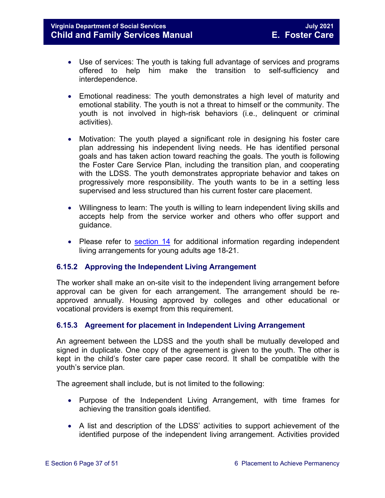- Use of services: The youth is taking full advantage of services and programs offered to help him make the transition to self-sufficiency and interdependence.
- Emotional readiness: The youth demonstrates a high level of maturity and emotional stability. The youth is not a threat to himself or the community. The youth is not involved in high-risk behaviors (i.e., delinquent or criminal activities).
- Motivation: The youth played a significant role in designing his foster care plan addressing his independent living needs. He has identified personal goals and has taken action toward reaching the goals. The youth is following the Foster Care Service Plan, including the transition plan, and cooperating with the LDSS. The youth demonstrates appropriate behavior and takes on progressively more responsibility. The youth wants to be in a setting less supervised and less structured than his current foster care placement.
- Willingness to learn: The youth is willing to learn independent living skills and accepts help from the service worker and others who offer support and guidance.
- Please refer to [section 14](https://fusion.dss.virginia.gov/Portals/%5bdfs%5d/Files/DFS%20Manuals/Foster%20Care%20Manuals/Foster%20Care%20Manual%2007-2020/Final%20Foster%20Care%20Manual%2007-2020/Section_14_Fostering_Futures.pdf) for additional information regarding independent living arrangements for young adults age 18-21.

#### <span id="page-36-0"></span>**6.15.2 Approving the Independent Living Arrangement**

The worker shall make an on-site visit to the independent living arrangement before approval can be given for each arrangement. The arrangement should be reapproved annually. Housing approved by colleges and other educational or vocational providers is exempt from this requirement.

#### <span id="page-36-1"></span>**6.15.3 Agreement for placement in Independent Living Arrangement**

An agreement between the LDSS and the youth shall be mutually developed and signed in duplicate. One copy of the agreement is given to the youth. The other is kept in the child's foster care paper case record. It shall be compatible with the youth's service plan.

The agreement shall include, but is not limited to the following:

- Purpose of the Independent Living Arrangement, with time frames for achieving the transition goals identified.
- A list and description of the LDSS' activities to support achievement of the identified purpose of the independent living arrangement. Activities provided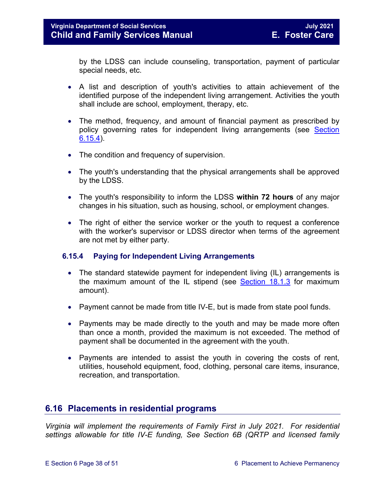by the LDSS can include counseling, transportation, payment of particular special needs, etc.

- A list and description of youth's activities to attain achievement of the identified purpose of the independent living arrangement. Activities the youth shall include are school, employment, therapy, etc.
- The method, frequency, and amount of financial payment as prescribed by policy governing rates for independent living arrangements (see [Section](#page-37-0) [6.15.4\)](#page-37-0).
- The condition and frequency of supervision.
- The youth's understanding that the physical arrangements shall be approved by the LDSS.
- The youth's responsibility to inform the LDSS **within 72 hours** of any major changes in his situation, such as housing, school, or employment changes.
- The right of either the service worker or the youth to request a conference with the worker's supervisor or LDSS director when terms of the agreement are not met by either party.

#### <span id="page-37-0"></span>**6.15.4 Paying for Independent Living Arrangements**

- The standard statewide payment for independent living (IL) arrangements is the maximum amount of the IL stipend (see [Section 18.1.3](https://fusion.dss.virginia.gov/Portals/%5bdfs%5d/Files/DFS%20Manuals/Foster%20Care%20Manuals/Foster%20Care%20Manual%2007-2020/Final%20Foster%20Care%20Manual%2007-2020/section_18_funding_maintenance_costs.pdf#page=4) for maximum amount).
- Payment cannot be made from title IV-E, but is made from state pool funds.
- Payments may be made directly to the youth and may be made more often than once a month, provided the maximum is not exceeded. The method of payment shall be documented in the agreement with the youth.
- Payments are intended to assist the youth in covering the costs of rent, utilities, household equipment, food, clothing, personal care items, insurance, recreation, and transportation.

#### <span id="page-37-1"></span>**6.16 Placements in residential programs**

*Virginia will implement the requirements of Family First in July 2021. For residential settings allowable for title IV-E funding, See Section 6B (QRTP and licensed family*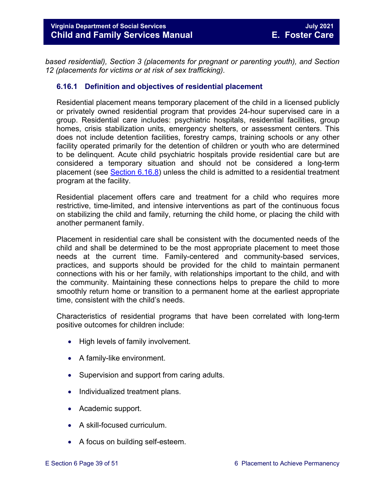*based residential), Section 3 (placements for pregnant or parenting youth), and Section 12 (placements for victims or at risk of sex trafficking).*

#### <span id="page-38-0"></span>**6.16.1 Definition and objectives of residential placement**

Residential placement means temporary placement of the child in a licensed publicly or privately owned residential program that provides 24-hour supervised care in a group. Residential care includes: psychiatric hospitals, residential facilities, group homes, crisis stabilization units, emergency shelters, or assessment centers. This does not include detention facilities, forestry camps, training schools or any other facility operated primarily for the detention of children or youth who are determined to be delinquent. Acute child psychiatric hospitals provide residential care but are considered a temporary situation and should not be considered a long-term placement (see [Section 6.16.8\)](#page-45-1) unless the child is admitted to a residential treatment program at the facility.

Residential placement offers care and treatment for a child who requires more restrictive, time-limited, and intensive interventions as part of the continuous focus on stabilizing the child and family, returning the child home, or placing the child with another permanent family.

Placement in residential care shall be consistent with the documented needs of the child and shall be determined to be the most appropriate placement to meet those needs at the current time. Family-centered and community-based services, practices, and supports should be provided for the child to maintain permanent connections with his or her family, with relationships important to the child, and with the community. Maintaining these connections helps to prepare the child to more smoothly return home or transition to a permanent home at the earliest appropriate time, consistent with the child's needs.

Characteristics of residential programs that have been correlated with long-term positive outcomes for children include:

- High levels of family involvement.
- A family-like environment.
- Supervision and support from caring adults.
- Individualized treatment plans.
- Academic support.
- A skill-focused curriculum.
- A focus on building self-esteem.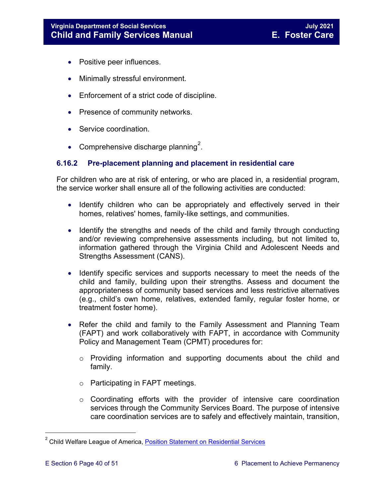- Positive peer influences.
- Minimally stressful environment.
- Enforcement of a strict code of discipline.
- Presence of community networks.
- Service coordination.
- Comprehensive discharge planning<sup>[2](#page-39-1)</sup>.

#### <span id="page-39-0"></span>**6.16.2 Pre-placement planning and placement in residential care**

For children who are at risk of entering, or who are placed in, a residential program, the service worker shall ensure all of the following activities are conducted:

- Identify children who can be appropriately and effectively served in their homes, relatives' homes, family-like settings, and communities.
- Identify the strengths and needs of the child and family through conducting and/or reviewing comprehensive assessments including, but not limited to, information gathered through the [Virginia Child and Adolescent Needs and](http://www.csa.virginia.gov/html/CANS/cans_information.cfm)  [Strengths Assessment \(CANS\).](http://www.csa.virginia.gov/html/CANS/cans_information.cfm)
- Identify specific services and supports necessary to meet the needs of the child and family, building upon their strengths. Assess and document the appropriateness of community based services and less restrictive alternatives (e.g., child's own home, relatives, extended family, regular foster home, or treatment foster home).
- Refer the child and family to the Family Assessment and Planning Team (FAPT) and work collaboratively with FAPT, in accordance with Community Policy and Management Team (CPMT) procedures for:
	- o Providing information and supporting documents about the child and family.
	- o Participating in FAPT meetings.
	- o Coordinating efforts with the provider of intensive care coordination services through the Community Services Board. The purpose of intensive care coordination services are to safely and effectively maintain, transition,

<span id="page-39-1"></span> 2 Child Welfare League of America, [Position Statement on Residential Services](http://www.cwla.org/programs/groupcare/rgcpositionstatement.pdf)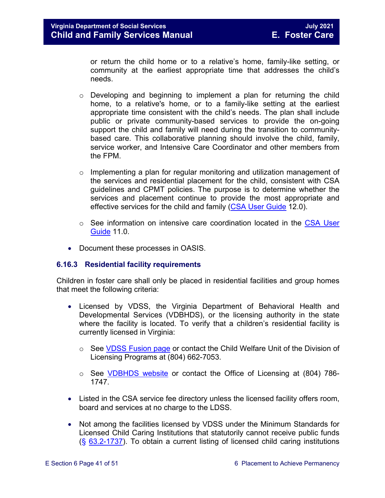or return the child home or to a relative's home, family-like setting, or community at the earliest appropriate time that addresses the child's needs.

- $\circ$  Developing and beginning to implement a plan for returning the child home, to a relative's home, or to a family-like setting at the earliest appropriate time consistent with the child's needs. The plan shall include public or private community-based services to provide the on-going support the child and family will need during the transition to communitybased care. This collaborative planning should involve the child, family, service worker, and Intensive Care Coordinator and other members from the FPM.
- $\circ$  Implementing a plan for regular monitoring and utilization management of the services and residential placement for the child, consistent with CSA guidelines and CPMT policies. The purpose is to determine whether the services and placement continue to provide the most appropriate and effective services for the child and family (CSA User Guide 12.0).
- o See information on intensive care coordination located in the CSA User Guide 11.0.
- Document these processes in OASIS.

#### <span id="page-40-0"></span>**6.16.3 Residential facility requirements**

Children in foster care shall only be placed in residential facilities and group homes that meet the following criteria:

- Licensed by VDSS, the Virginia Department of Behavioral Health and Developmental Services (VDBHDS), or the licensing authority in the state where the facility is located. To verify that a children's residential facility is currently licensed in Virginia:
	- $\circ$  See [VDSS Fusion](https://fusion.dss.virginia.gov/lp/LP-Home/CHILD-WELFARE-UNIT/Licenses?folderId=1026&view=gridview&pageSize=10) page or contact the Child Welfare Unit of the Division of Licensing Programs at (804) 662-7053.
	- o See [VDBHDS website](http://www.dbhds.virginia.gov/professionals-and-service-providers/licensing) or contact the Office of Licensing at (804) 786- 1747.
- Listed in the CSA service fee directory unless the licensed facility offers room, board and services at no charge to the LDSS.
- Not among the facilities licensed by VDSS under the Minimum Standards for Licensed Child Caring Institutions that statutorily cannot receive public funds (§ [63.2-1737\)](https://law.lis.virginia.gov/vacode/63.2-1737/). To obtain a current listing of licensed child caring institutions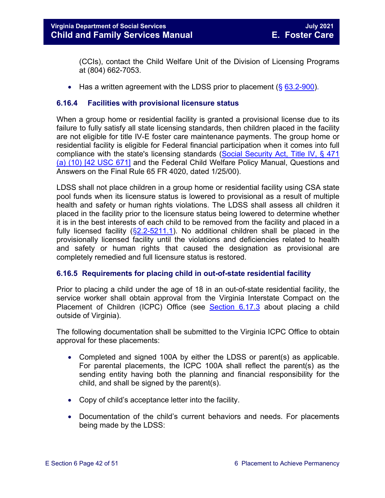(CCIs), contact the Child Welfare Unit of the Division of Licensing Programs at (804) 662-7053.

• Has a written agreement with the LDSS prior to placement  $(\S 63.2\n-900)$ .

#### <span id="page-41-0"></span>**6.16.4 Facilities with provisional licensure status**

When a group home or residential facility is granted a provisional license due to its failure to fully satisfy all state licensing standards, then children placed in the facility are not eligible for title IV-E foster care maintenance payments. The group home or residential facility is eligible for Federal financial participation when it comes into full compliance with the state's licensing standards [\(Social Security Act, Title IV, § 471](http://www.ssa.gov/OP_Home/ssact/title04/0471.htm)  [\(a\) \(10\) \[42 USC 671\]](http://www.ssa.gov/OP_Home/ssact/title04/0471.htm) and the Federal Child Welfare Policy Manual, Questions and Answers on the Final Rule 65 FR 4020, dated 1/25/00).

LDSS shall not place children in a group home or residential facility using CSA state pool funds when its licensure status is lowered to provisional as a result of multiple health and safety or human rights violations. The LDSS shall assess all children it placed in the facility prior to the licensure status being lowered to determine whether it is in the best interests of each child to be removed from the facility and placed in a fully licensed facility ([§2.2-5211.1\)](https://law.lis.virginia.gov/vacode/2.2-5211.1/). No additional children shall be placed in the provisionally licensed facility until the violations and deficiencies related to health and safety or human rights that caused the designation as provisional are completely remedied and full licensure status is restored.

#### <span id="page-41-1"></span>**6.16.5 Requirements for placing child in out-of-state residential facility**

Prior to placing a child under the age of 18 in an out-of-state residential facility, the service worker shall obtain approval from the Virginia Interstate Compact on the Placement of Children (ICPC) Office (see [Section](#page-47-2) 6.17.3 about placing a child outside of Virginia).

The following documentation shall be submitted to the Virginia ICPC Office to obtain approval for these placements:

- Completed and signed 100A by either the LDSS or parent(s) as applicable. For parental placements, the ICPC 100A shall reflect the parent(s) as the sending entity having both the planning and financial responsibility for the child, and shall be signed by the parent(s).
- Copy of child's acceptance letter into the facility.
- Documentation of the child's current behaviors and needs. For placements being made by the LDSS: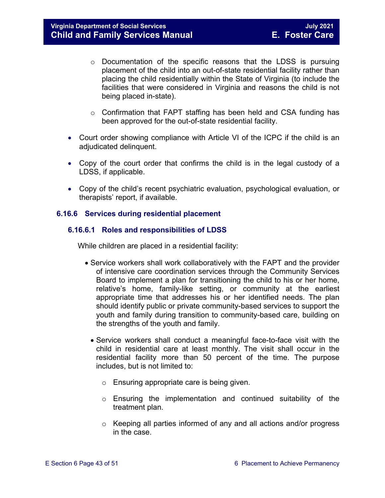- $\circ$  Documentation of the specific reasons that the LDSS is pursuing placement of the child into an out-of-state residential facility rather than placing the child residentially within the State of Virginia (to include the facilities that were considered in Virginia and reasons the child is not being placed in-state).
- o Confirmation that FAPT staffing has been held and CSA funding has been approved for the out-of-state residential facility.
- Court order showing compliance with Article VI of the ICPC if the child is an adjudicated delinquent.
- Copy of the court order that confirms the child is in the legal custody of a LDSS, if applicable.
- Copy of the child's recent psychiatric evaluation, psychological evaluation, or therapists' report, if available.

#### <span id="page-42-1"></span><span id="page-42-0"></span>**6.16.6 Services during residential placement**

#### **6.16.6.1 Roles and responsibilities of LDSS**

While children are placed in a residential facility:

- Service workers shall work collaboratively with the FAPT and the provider of intensive care coordination services through the Community Services Board to implement a plan for transitioning the child to his or her home, relative's home, family-like setting, or community at the earliest appropriate time that addresses his or her identified needs. The plan should identify public or private community-based services to support the youth and family during transition to community-based care, building on the strengths of the youth and family.
	- Service workers shall conduct a meaningful face-to-face visit with the child in residential care at least monthly. The visit shall occur in the residential facility more than 50 percent of the time. The purpose includes, but is not limited to:
		- o Ensuring appropriate care is being given.
		- o Ensuring the implementation and continued suitability of the treatment plan.
		- $\circ$  Keeping all parties informed of any and all actions and/or progress in the case.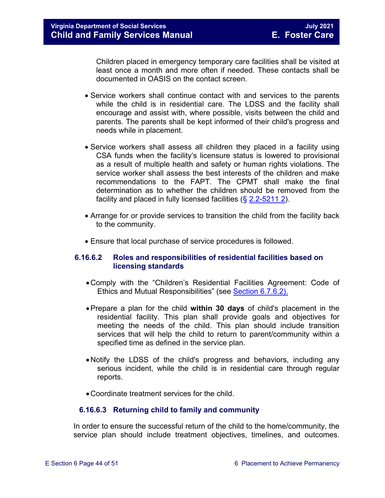Children placed in emergency temporary care facilities shall be visited at least once a month and more often if needed. These contacts shall be documented in OASIS on the contact screen.

- Service workers shall continue contact with and services to the parents while the child is in residential care. The LDSS and the facility shall encourage and assist with, where possible, visits between the child and parents. The parents shall be kept informed of their child's progress and needs while in placement.
- Service workers shall assess all children they placed in a facility using CSA funds when the facility's licensure status is lowered to provisional as a result of multiple health and safety or human rights violations. The service worker shall assess the best interests of the children and make recommendations to the FAPT. The CPMT shall make the final determination as to whether the children should be removed from the facility and placed in fully licensed facilities (§ [2.2-5211 2\)](https://law.lis.virginia.gov/vacode/2.2-5211/).
- Arrange for or provide services to transition the child from the facility back to the community.
- Ensure that local purchase of service procedures is followed.

#### <span id="page-43-0"></span>**6.16.6.2 Roles and responsibilities of residential facilities based on licensing standards**

- •Comply with the "Children's Residential Facilities Agreement: Code of Ethics and Mutual Responsibilities" (see [Section 6.7.6.2\).](#page-37-1)
- •Prepare a plan for the child **within 30 days** of child's placement in the residential facility. This plan shall provide goals and objectives for meeting the needs of the child. This plan should include transition services that will help the child to return to parent/community within a specified time as defined in the service plan.
- •Notify the LDSS of the child's progress and behaviors, including any serious incident, while the child is in residential care through regular reports.
- •Coordinate treatment services for the child.

#### **6.16.6.3 Returning child to family and community**

<span id="page-43-1"></span>In order to ensure the successful return of the child to the home/community, the service plan should include treatment objectives, timelines, and outcomes.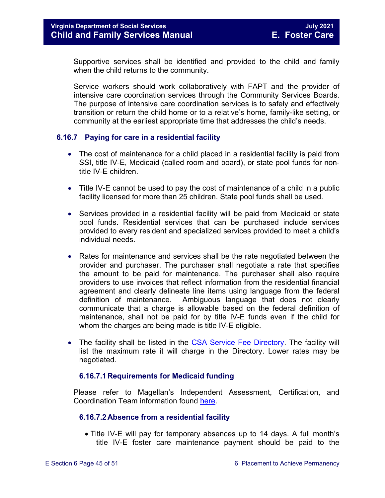Supportive services shall be identified and provided to the child and family when the child returns to the community.

Service workers should work collaboratively with FAPT and the provider of intensive care coordination services through the Community Services Boards. The purpose of intensive care coordination services is to safely and effectively transition or return the child home or to a relative's home, family-like setting, or community at the earliest appropriate time that addresses the child's needs.

#### <span id="page-44-0"></span>**6.16.7 Paying for care in a residential facility**

- The cost of maintenance for a child placed in a residential facility is paid from SSI, title IV-E, Medicaid (called room and board), or state pool funds for nontitle IV-E children.
- Title IV-E cannot be used to pay the cost of maintenance of a child in a public facility licensed for more than 25 children. State pool funds shall be used.
- Services provided in a residential facility will be paid from Medicaid or state pool funds. Residential services that can be purchased include services provided to every resident and specialized services provided to meet a child's individual needs.
- Rates for maintenance and services shall be the rate negotiated between the provider and purchaser. The purchaser shall negotiate a rate that specifies the amount to be paid for maintenance. The purchaser shall also require providers to use invoices that reflect information from the residential financial agreement and clearly delineate line items using language from the federal definition of maintenance. Ambiguous language that does not clearly communicate that a charge is allowable based on the federal definition of maintenance, shall not be paid for by title IV-E funds even if the child for whom the charges are being made is title IV-E eligible.
- The facility shall be listed in the [CSA Service Fee Directory.](http://www.ocs.csa.virginia.gov/sfd/service_fee_directory.cfm) The facility will list the maximum rate it will charge in the Directory. Lower rates may be negotiated.

#### **6.16.7.1Requirements for Medicaid funding**

<span id="page-44-1"></span>Please refer to Magellan's Independent Assessment, Certification, and Coordination Team information found [here.](https://www.magellanofvirginia.com/for-providers/residential-program-process/)

#### <span id="page-44-2"></span>**6.16.7.2Absence from a residential facility**

• Title IV-E will pay for temporary absences up to 14 days. A full month's title IV-E foster care maintenance payment should be paid to the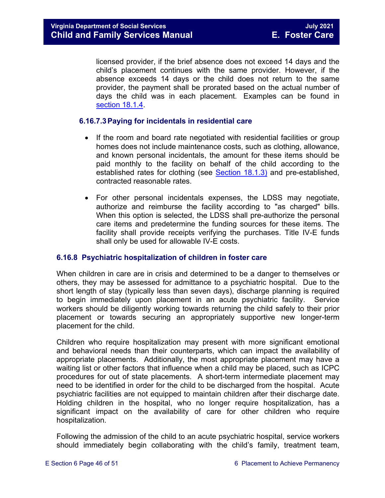licensed provider, if the brief absence does not exceed 14 days and the child's placement continues with the same provider. However, if the absence exceeds 14 days or the child does not return to the same provider, the payment shall be prorated based on the actual number of days the child was in each placement. Examples can be found in [section 18.1.4.](https://fusion.dss.virginia.gov/Portals/%5bdfs%5d/Files/DFS%20Manuals/Foster%20Care%20Manuals/Foster%20Care%20Manual%2007-2020/Final%20Foster%20Care%20Manual%2007-2020/section_18_funding_maintenance_costs.pdf#page=4)

#### <span id="page-45-0"></span>**6.16.7.3Paying for incidentals in residential care**

- If the room and board rate negotiated with residential facilities or group homes does not include maintenance costs, such as clothing, allowance, and known personal incidentals, the amount for these items should be paid monthly to the facility on behalf of the child according to the established rates for clothing (see **[Section](https://fusion.dss.virginia.gov/Portals/%5bdfs%5d/Files/DFS%20Manuals/Foster%20Care%20Manuals/Foster%20Care%20Manual%2007-2020/Final%20Foster%20Care%20Manual%2007-2020/section_18_funding_maintenance_costs.pdf#page=4) 18.1.3)** and pre-established, contracted reasonable rates.
- For other personal incidentals expenses, the LDSS may negotiate, authorize and reimburse the facility according to "as charged" bills. When this option is selected, the LDSS shall pre-authorize the personal care items and predetermine the funding sources for these items. The facility shall provide receipts verifying the purchases. Title IV-E funds shall only be used for allowable IV-E costs.

#### <span id="page-45-1"></span>**6.16.8 Psychiatric hospitalization of children in foster care**

When children in care are in crisis and determined to be a danger to themselves or others, they may be assessed for admittance to a psychiatric hospital. Due to the short length of stay (typically less than seven days), discharge planning is required to begin immediately upon placement in an acute psychiatric facility. Service workers should be diligently working towards returning the child safely to their prior placement or towards securing an appropriately supportive new longer-term placement for the child.

Children who require hospitalization may present with more significant emotional and behavioral needs than their counterparts, which can impact the availability of appropriate placements. Additionally, the most appropriate placement may have a waiting list or other factors that influence when a child may be placed, such as ICPC procedures for out of state placements. A short-term intermediate placement may need to be identified in order for the child to be discharged from the hospital. Acute psychiatric facilities are not equipped to maintain children after their discharge date. Holding children in the hospital, who no longer require hospitalization, has a significant impact on the availability of care for other children who require hospitalization.

Following the admission of the child to an acute psychiatric hospital, service workers should immediately begin collaborating with the child's family, treatment team,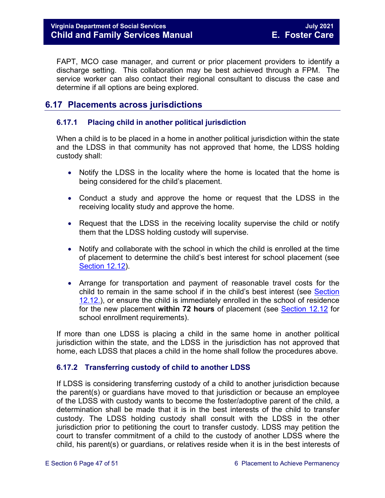FAPT, MCO case manager, and current or prior placement providers to identify a discharge setting. This collaboration may be best achieved through a FPM. The service worker can also contact their regional consultant to discuss the case and determine if all options are being explored.

#### <span id="page-46-0"></span>**6.17 Placements across jurisdictions**

#### <span id="page-46-1"></span>**6.17.1 Placing child in another political jurisdiction**

When a child is to be placed in a home in another political jurisdiction within the state and the LDSS in that community has not approved that home, the LDSS holding custody shall:

- Notify the LDSS in the locality where the home is located that the home is being considered for the child's placement.
- Conduct a study and approve the home or request that the LDSS in the receiving locality study and approve the home.
- Request that the LDSS in the receiving locality supervise the child or notify them that the LDSS holding custody will supervise.
- Notify and collaborate with the school in which the child is enrolled at the time of placement to determine the child's best interest for school placement (see [Section 12.12\)](https://fusion.dss.virginia.gov/Portals/%5bdfs%5d/Files/DFS%20Manuals/Foster%20Care%20Manuals/Foster%20Care%20Manual%2007-2020/Final%20Foster%20Care%20Manual%2007-2020/section_12_identifying_services_to_be_provided.pdf#page=53).
- Arrange for transportation and payment of reasonable travel costs for the child to remain in the same school if in the child's best interest (see [Section](https://fusion.dss.virginia.gov/Portals/%5bdfs%5d/Files/DFS%20Manuals/Foster%20Care%20Manuals/Foster%20Care%20Manual%2007-2020/Final%20Foster%20Care%20Manual%2007-2020/section_12_identifying_services_to_be_provided.pdf#page=53)  [12.12.\)](https://fusion.dss.virginia.gov/Portals/%5bdfs%5d/Files/DFS%20Manuals/Foster%20Care%20Manuals/Foster%20Care%20Manual%2007-2020/Final%20Foster%20Care%20Manual%2007-2020/section_12_identifying_services_to_be_provided.pdf#page=53), or ensure the child is immediately enrolled in the school of residence for the new placement **within 72 hours** of placement (see [Section 12.12](https://fusion.dss.virginia.gov/Portals/%5bdfs%5d/Files/DFS%20Manuals/Foster%20Care%20Manuals/Foster%20Care%20Manual%2007-2020/Final%20Foster%20Care%20Manual%2007-2020/section_12_identifying_services_to_be_provided.pdf#page=53) for school enrollment requirements).

If more than one LDSS is placing a child in the same home in another political jurisdiction within the state, and the LDSS in the jurisdiction has not approved that home, each LDSS that places a child in the home shall follow the procedures above.

#### <span id="page-46-2"></span>**6.17.2 Transferring custody of child to another LDSS**

If LDSS is considering transferring custody of a child to another jurisdiction because the parent(s) or guardians have moved to that jurisdiction or because an employee of the LDSS with custody wants to become the foster/adoptive parent of the child, a determination shall be made that it is in the best interests of the child to transfer custody. The LDSS holding custody shall consult with the LDSS in the other jurisdiction prior to petitioning the court to transfer custody. LDSS may petition the court to transfer commitment of a child to the custody of another LDSS where the child, his parent(s) or guardians, or relatives reside when it is in the best interests of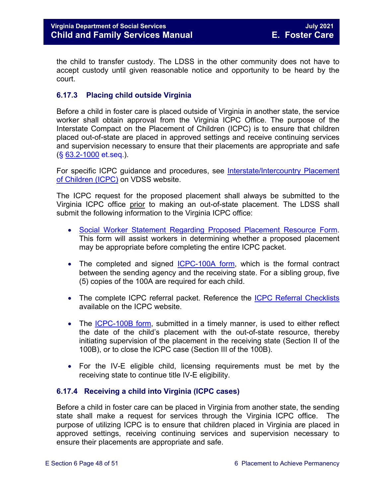the child to transfer custody. The LDSS in the other community does not have to accept custody until given reasonable notice and opportunity to be heard by the court.

#### <span id="page-47-2"></span><span id="page-47-0"></span>**6.17.3 Placing child outside Virginia**

Before a child in foster care is placed outside of Virginia in another state, the service worker shall obtain approval from the Virginia ICPC Office. The purpose of the Interstate Compact on the Placement of Children (ICPC) is to ensure that children placed out-of-state are placed in approved settings and receive continuing services and supervision necessary to ensure that their placements are appropriate and safe (§ [63.2-1000](https://law.lis.virginia.gov/vacode/63.2-1000/) et.seq.).

For specific ICPC guidance and procedures, see [Interstate/Intercountry Placement](http://www.dss.virginia.gov/family/icpc/index.cgi)  [of Children \(ICPC\)](http://www.dss.virginia.gov/family/icpc/index.cgi) on VDSS website.

The ICPC request for the proposed placement shall always be submitted to the Virginia ICPC office prior to making an out-of-state placement. The LDSS shall submit the following information to the Virginia ICPC office:

- [Social Worker Statement Regarding Proposed Placement Resource Form.](https://fusion.dss.virginia.gov/dfs/DFS-Home/Interstate-Compact-On-The-Placement-of-Children/ICPC-ICAMA-Forms) This form will assist workers in determining whether a proposed placement may be appropriate before completing the entire ICPC packet.
- The completed and signed [ICPC-100A form,](https://fusion.dss.virginia.gov/dfs/DFS-Home/Interstate-Compact-On-The-Placement-of-Children/ICPC-ICAMA-Forms) which is the formal contract between the sending agency and the receiving state. For a sibling group, five (5) copies of the 100A are required for each child.
- The complete ICPC referral packet. Reference the [ICPC Referral Checklists](https://fusion.dss.virginia.gov/dfs/DFS-Home/Interstate-Compact-On-The-Placement-of-Children/ICPC-Checklists) available on the ICPC website.
- The [ICPC-100B form,](https://fusion.dss.virginia.gov/dfs/DFS-Home/Interstate-Compact-On-The-Placement-of-Children/ICPC-ICAMA-Forms) submitted in a timely manner, is used to either reflect the date of the child's placement with the out-of-state resource, thereby initiating supervision of the placement in the receiving state (Section II of the 100B), or to close the ICPC case (Section III of the 100B).
- For the IV-E eligible child, licensing requirements must be met by the receiving state to continue title IV-E eligibility.

#### <span id="page-47-1"></span>**6.17.4 Receiving a child into Virginia (ICPC cases)**

Before a child in foster care can be placed in Virginia from another state, the sending state shall make a request for services through the Virginia ICPC office. The purpose of utilizing ICPC is to ensure that children placed in Virginia are placed in approved settings, receiving continuing services and supervision necessary to ensure their placements are appropriate and safe.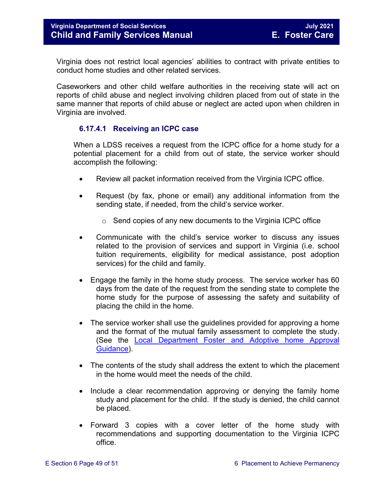Virginia does not restrict local agencies' abilities to contract with private entities to conduct home studies and other related services.

Caseworkers and other child welfare authorities in the receiving state will act on reports of child abuse and neglect involving children placed from out of state in the same manner that reports of child abuse or neglect are acted upon when children in Virginia are involved.

#### **6.17.4.1 Receiving an ICPC case**

<span id="page-48-0"></span>When a LDSS receives a request from the ICPC office for a home study for a potential placement for a child from out of state, the service worker should accomplish the following:

- Review all packet information received from the Virginia ICPC office.
- Request (by fax, phone or email) any additional information from the sending state, if needed, from the child's service worker.
	- o Send copies of any new documents to the Virginia ICPC office
- Communicate with the child's service worker to discuss any issues related to the provision of services and support in Virginia (i.e. school tuition requirements, eligibility for medical assistance, post adoption services) for the child and family.
- Engage the family in the home study process. The service worker has 60 days from the date of the request from the sending state to complete the home study for the purpose of assessing the safety and suitability of placing the child in the home.
- The service worker shall use the guidelines provided for approving a home and the format of the mutual family assessment to complete the study. (See the Local Department [Foster and Adoptive home Approval](https://fusion.dss.virginia.gov/dfs/DFS-Home/Family-Recruitment/Family-Recruitment-Guidance)  [Guidance\)](https://fusion.dss.virginia.gov/dfs/DFS-Home/Family-Recruitment/Family-Recruitment-Guidance).
- The contents of the study shall address the extent to which the placement in the home would meet the needs of the child.
- Include a clear recommendation approving or denying the family home study and placement for the child. If the study is denied, the child cannot be placed.
- Forward 3 copies with a cover letter of the home study with recommendations and supporting documentation to the Virginia ICPC office.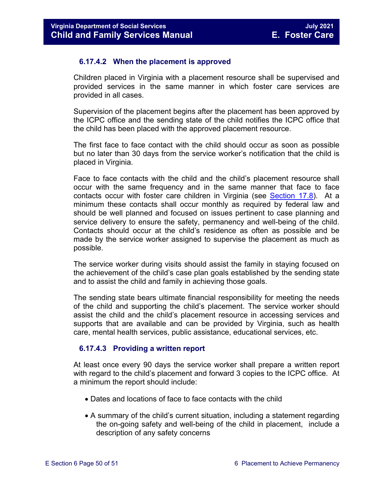#### **6.17.4.2 When the placement is approved**

<span id="page-49-0"></span>Children placed in Virginia with a placement resource shall be supervised and provided services in the same manner in which foster care services are provided in all cases.

Supervision of the placement begins after the placement has been approved by the ICPC office and the sending state of the child notifies the ICPC office that the child has been placed with the approved placement resource.

The first face to face contact with the child should occur as soon as possible but no later than 30 days from the service worker's notification that the child is placed in Virginia.

Face to face contacts with the child and the child's placement resource shall occur with the same frequency and in the same manner that face to face contacts occur with foster care children in Virginia (see [Section 17.8\)](https://fusion.dss.virginia.gov/Portals/%5bdfs%5d/Files/DFS%20Manuals/Foster%20Care%20Manuals/Foster%20Care%20Manual%2007-2020/Final%20Foster%20Care%20Manual%2007-2020/section_17_managing_foster_care_services.pdf#page=14). At a minimum these contacts shall occur monthly as required by federal law and should be well planned and focused on issues pertinent to case planning and service delivery to ensure the safety, permanency and well-being of the child. Contacts should occur at the child's residence as often as possible and be made by the service worker assigned to supervise the placement as much as possible.

The service worker during visits should assist the family in staying focused on the achievement of the child's case plan goals established by the sending state and to assist the child and family in achieving those goals.

The sending state bears ultimate financial responsibility for meeting the needs of the child and supporting the child's placement. The service worker should assist the child and the child's placement resource in accessing services and supports that are available and can be provided by Virginia, such as health care, mental health services, public assistance, educational services, etc.

#### **6.17.4.3 Providing a written report**

<span id="page-49-1"></span>At least once every 90 days the service worker shall prepare a written report with regard to the child's placement and forward 3 copies to the ICPC office. At a minimum the report should include:

- Dates and locations of face to face contacts with the child
- A summary of the child's current situation, including a statement regarding the on-going safety and well-being of the child in placement, include a description of any safety concerns